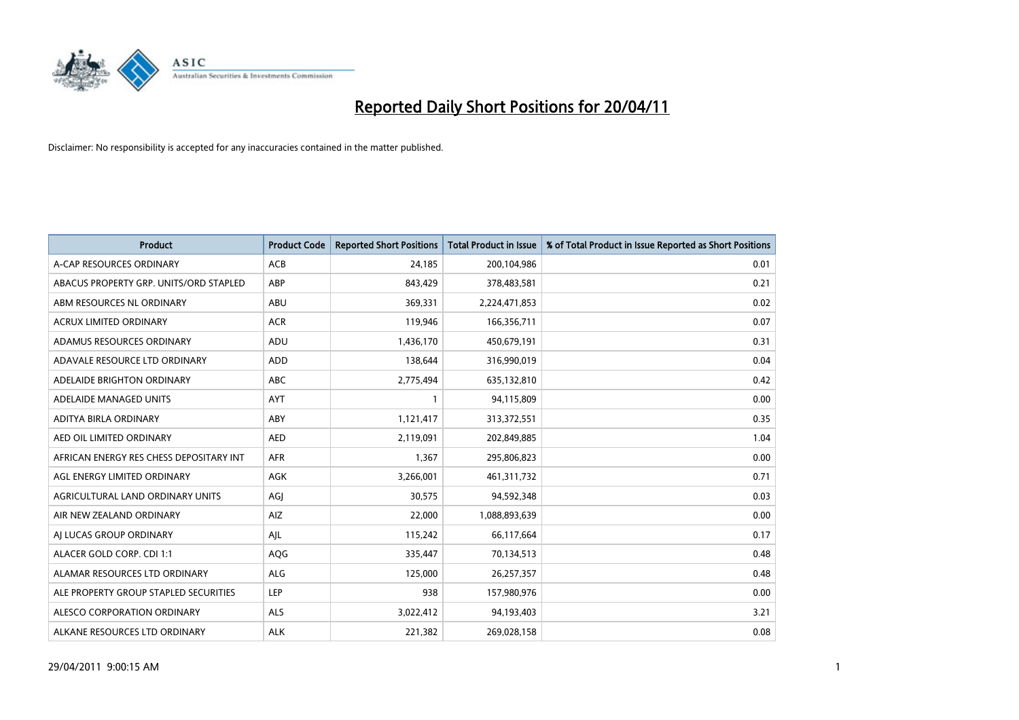

| <b>Product</b>                          | <b>Product Code</b> | <b>Reported Short Positions</b> | <b>Total Product in Issue</b> | % of Total Product in Issue Reported as Short Positions |
|-----------------------------------------|---------------------|---------------------------------|-------------------------------|---------------------------------------------------------|
| A-CAP RESOURCES ORDINARY                | <b>ACB</b>          | 24,185                          | 200,104,986                   | 0.01                                                    |
| ABACUS PROPERTY GRP. UNITS/ORD STAPLED  | ABP                 | 843,429                         | 378,483,581                   | 0.21                                                    |
| ABM RESOURCES NL ORDINARY               | ABU                 | 369,331                         | 2,224,471,853                 | 0.02                                                    |
| ACRUX LIMITED ORDINARY                  | <b>ACR</b>          | 119,946                         | 166,356,711                   | 0.07                                                    |
| ADAMUS RESOURCES ORDINARY               | ADU                 | 1,436,170                       | 450,679,191                   | 0.31                                                    |
| ADAVALE RESOURCE LTD ORDINARY           | ADD                 | 138,644                         | 316,990,019                   | 0.04                                                    |
| ADELAIDE BRIGHTON ORDINARY              | <b>ABC</b>          | 2,775,494                       | 635,132,810                   | 0.42                                                    |
| ADELAIDE MANAGED UNITS                  | <b>AYT</b>          |                                 | 94,115,809                    | 0.00                                                    |
| ADITYA BIRLA ORDINARY                   | ABY                 | 1,121,417                       | 313,372,551                   | 0.35                                                    |
| AED OIL LIMITED ORDINARY                | <b>AED</b>          | 2,119,091                       | 202,849,885                   | 1.04                                                    |
| AFRICAN ENERGY RES CHESS DEPOSITARY INT | <b>AFR</b>          | 1,367                           | 295,806,823                   | 0.00                                                    |
| AGL ENERGY LIMITED ORDINARY             | AGK                 | 3,266,001                       | 461,311,732                   | 0.71                                                    |
| AGRICULTURAL LAND ORDINARY UNITS        | AGJ                 | 30,575                          | 94,592,348                    | 0.03                                                    |
| AIR NEW ZEALAND ORDINARY                | AIZ                 | 22,000                          | 1,088,893,639                 | 0.00                                                    |
| AI LUCAS GROUP ORDINARY                 | AIL                 | 115,242                         | 66,117,664                    | 0.17                                                    |
| ALACER GOLD CORP. CDI 1:1               | AQG                 | 335,447                         | 70,134,513                    | 0.48                                                    |
| ALAMAR RESOURCES LTD ORDINARY           | <b>ALG</b>          | 125,000                         | 26,257,357                    | 0.48                                                    |
| ALE PROPERTY GROUP STAPLED SECURITIES   | <b>LEP</b>          | 938                             | 157,980,976                   | 0.00                                                    |
| ALESCO CORPORATION ORDINARY             | <b>ALS</b>          | 3,022,412                       | 94,193,403                    | 3.21                                                    |
| ALKANE RESOURCES LTD ORDINARY           | <b>ALK</b>          | 221,382                         | 269,028,158                   | 0.08                                                    |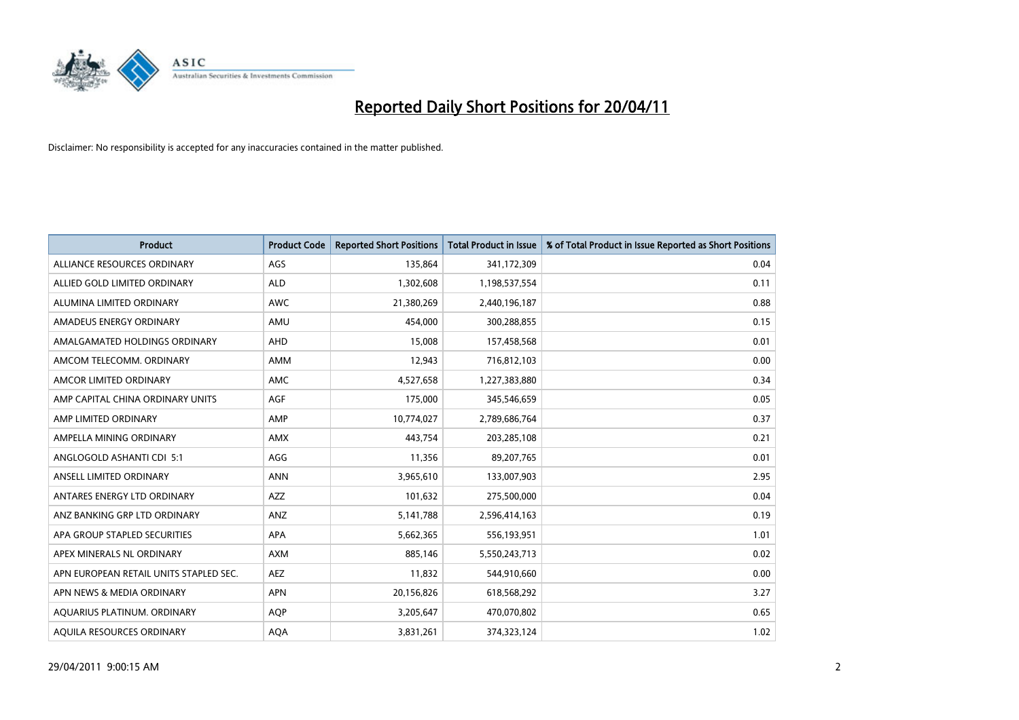

| <b>Product</b>                         | <b>Product Code</b> | <b>Reported Short Positions</b> | <b>Total Product in Issue</b> | % of Total Product in Issue Reported as Short Positions |
|----------------------------------------|---------------------|---------------------------------|-------------------------------|---------------------------------------------------------|
| ALLIANCE RESOURCES ORDINARY            | AGS                 | 135,864                         | 341,172,309                   | 0.04                                                    |
| ALLIED GOLD LIMITED ORDINARY           | <b>ALD</b>          | 1,302,608                       | 1,198,537,554                 | 0.11                                                    |
| ALUMINA LIMITED ORDINARY               | <b>AWC</b>          | 21,380,269                      | 2,440,196,187                 | 0.88                                                    |
| AMADEUS ENERGY ORDINARY                | AMU                 | 454,000                         | 300,288,855                   | 0.15                                                    |
| AMALGAMATED HOLDINGS ORDINARY          | AHD                 | 15,008                          | 157,458,568                   | 0.01                                                    |
| AMCOM TELECOMM. ORDINARY               | <b>AMM</b>          | 12,943                          | 716,812,103                   | 0.00                                                    |
| AMCOR LIMITED ORDINARY                 | <b>AMC</b>          | 4,527,658                       | 1,227,383,880                 | 0.34                                                    |
| AMP CAPITAL CHINA ORDINARY UNITS       | AGF                 | 175,000                         | 345,546,659                   | 0.05                                                    |
| AMP LIMITED ORDINARY                   | AMP                 | 10,774,027                      | 2,789,686,764                 | 0.37                                                    |
| AMPELLA MINING ORDINARY                | <b>AMX</b>          | 443,754                         | 203,285,108                   | 0.21                                                    |
| ANGLOGOLD ASHANTI CDI 5:1              | AGG                 | 11,356                          | 89,207,765                    | 0.01                                                    |
| ANSELL LIMITED ORDINARY                | <b>ANN</b>          | 3,965,610                       | 133,007,903                   | 2.95                                                    |
| ANTARES ENERGY LTD ORDINARY            | <b>AZZ</b>          | 101,632                         | 275,500,000                   | 0.04                                                    |
| ANZ BANKING GRP LTD ORDINARY           | ANZ                 | 5,141,788                       | 2,596,414,163                 | 0.19                                                    |
| APA GROUP STAPLED SECURITIES           | <b>APA</b>          | 5,662,365                       | 556,193,951                   | 1.01                                                    |
| APEX MINERALS NL ORDINARY              | <b>AXM</b>          | 885,146                         | 5,550,243,713                 | 0.02                                                    |
| APN EUROPEAN RETAIL UNITS STAPLED SEC. | <b>AEZ</b>          | 11,832                          | 544,910,660                   | 0.00                                                    |
| APN NEWS & MEDIA ORDINARY              | <b>APN</b>          | 20,156,826                      | 618,568,292                   | 3.27                                                    |
| AOUARIUS PLATINUM. ORDINARY            | <b>AQP</b>          | 3,205,647                       | 470,070,802                   | 0.65                                                    |
| AQUILA RESOURCES ORDINARY              | <b>AQA</b>          | 3,831,261                       | 374,323,124                   | 1.02                                                    |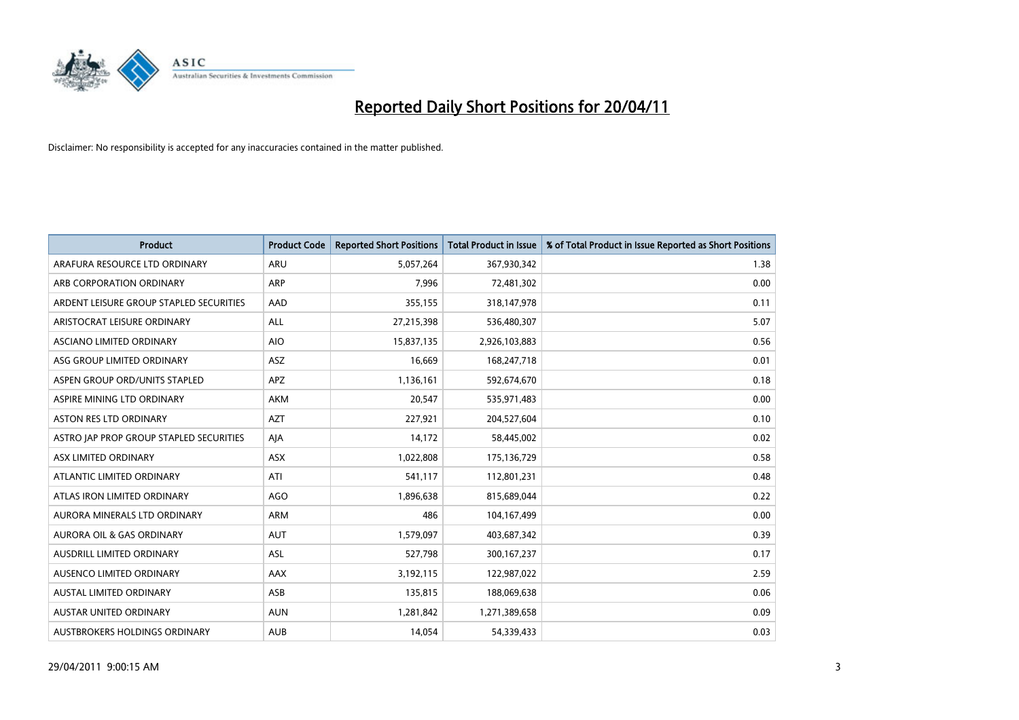

| <b>Product</b>                          | <b>Product Code</b> | <b>Reported Short Positions</b> | Total Product in Issue | % of Total Product in Issue Reported as Short Positions |
|-----------------------------------------|---------------------|---------------------------------|------------------------|---------------------------------------------------------|
| ARAFURA RESOURCE LTD ORDINARY           | ARU                 | 5,057,264                       | 367,930,342            | 1.38                                                    |
| ARB CORPORATION ORDINARY                | ARP                 | 7,996                           | 72,481,302             | 0.00                                                    |
| ARDENT LEISURE GROUP STAPLED SECURITIES | AAD                 | 355,155                         | 318,147,978            | 0.11                                                    |
| ARISTOCRAT LEISURE ORDINARY             | ALL                 | 27,215,398                      | 536,480,307            | 5.07                                                    |
| <b>ASCIANO LIMITED ORDINARY</b>         | <b>AIO</b>          | 15,837,135                      | 2,926,103,883          | 0.56                                                    |
| ASG GROUP LIMITED ORDINARY              | <b>ASZ</b>          | 16,669                          | 168,247,718            | 0.01                                                    |
| ASPEN GROUP ORD/UNITS STAPLED           | <b>APZ</b>          | 1,136,161                       | 592,674,670            | 0.18                                                    |
| ASPIRE MINING LTD ORDINARY              | <b>AKM</b>          | 20,547                          | 535,971,483            | 0.00                                                    |
| ASTON RES LTD ORDINARY                  | <b>AZT</b>          | 227,921                         | 204,527,604            | 0.10                                                    |
| ASTRO JAP PROP GROUP STAPLED SECURITIES | AJA                 | 14,172                          | 58,445,002             | 0.02                                                    |
| ASX LIMITED ORDINARY                    | <b>ASX</b>          | 1,022,808                       | 175,136,729            | 0.58                                                    |
| ATLANTIC LIMITED ORDINARY               | ATI                 | 541,117                         | 112,801,231            | 0.48                                                    |
| ATLAS IRON LIMITED ORDINARY             | <b>AGO</b>          | 1,896,638                       | 815,689,044            | 0.22                                                    |
| AURORA MINERALS LTD ORDINARY            | <b>ARM</b>          | 486                             | 104,167,499            | 0.00                                                    |
| <b>AURORA OIL &amp; GAS ORDINARY</b>    | <b>AUT</b>          | 1,579,097                       | 403,687,342            | 0.39                                                    |
| AUSDRILL LIMITED ORDINARY               | ASL                 | 527,798                         | 300,167,237            | 0.17                                                    |
| AUSENCO LIMITED ORDINARY                | AAX                 | 3,192,115                       | 122,987,022            | 2.59                                                    |
| AUSTAL LIMITED ORDINARY                 | ASB                 | 135,815                         | 188,069,638            | 0.06                                                    |
| <b>AUSTAR UNITED ORDINARY</b>           | <b>AUN</b>          | 1,281,842                       | 1,271,389,658          | 0.09                                                    |
| AUSTBROKERS HOLDINGS ORDINARY           | <b>AUB</b>          | 14,054                          | 54,339,433             | 0.03                                                    |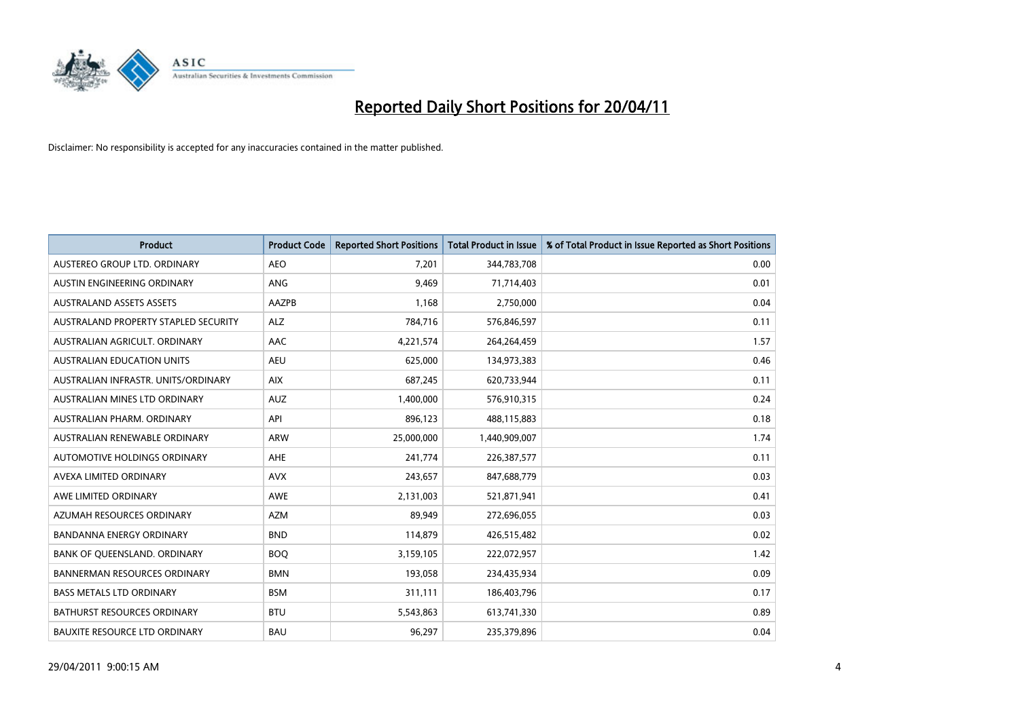

| <b>Product</b>                       | <b>Product Code</b> | <b>Reported Short Positions</b> | <b>Total Product in Issue</b> | % of Total Product in Issue Reported as Short Positions |
|--------------------------------------|---------------------|---------------------------------|-------------------------------|---------------------------------------------------------|
| AUSTEREO GROUP LTD. ORDINARY         | <b>AEO</b>          | 7,201                           | 344,783,708                   | 0.00                                                    |
| AUSTIN ENGINEERING ORDINARY          | ANG                 | 9,469                           | 71,714,403                    | 0.01                                                    |
| <b>AUSTRALAND ASSETS ASSETS</b>      | AAZPB               | 1,168                           | 2,750,000                     | 0.04                                                    |
| AUSTRALAND PROPERTY STAPLED SECURITY | <b>ALZ</b>          | 784,716                         | 576,846,597                   | 0.11                                                    |
| AUSTRALIAN AGRICULT, ORDINARY        | <b>AAC</b>          | 4,221,574                       | 264,264,459                   | 1.57                                                    |
| <b>AUSTRALIAN EDUCATION UNITS</b>    | <b>AEU</b>          | 625,000                         | 134,973,383                   | 0.46                                                    |
| AUSTRALIAN INFRASTR. UNITS/ORDINARY  | <b>AIX</b>          | 687,245                         | 620,733,944                   | 0.11                                                    |
| AUSTRALIAN MINES LTD ORDINARY        | <b>AUZ</b>          | 1,400,000                       | 576,910,315                   | 0.24                                                    |
| AUSTRALIAN PHARM, ORDINARY           | API                 | 896,123                         | 488,115,883                   | 0.18                                                    |
| AUSTRALIAN RENEWABLE ORDINARY        | <b>ARW</b>          | 25,000,000                      | 1,440,909,007                 | 1.74                                                    |
| AUTOMOTIVE HOLDINGS ORDINARY         | <b>AHE</b>          | 241,774                         | 226,387,577                   | 0.11                                                    |
| AVEXA LIMITED ORDINARY               | <b>AVX</b>          | 243,657                         | 847,688,779                   | 0.03                                                    |
| AWE LIMITED ORDINARY                 | <b>AWE</b>          | 2,131,003                       | 521,871,941                   | 0.41                                                    |
| AZUMAH RESOURCES ORDINARY            | <b>AZM</b>          | 89,949                          | 272,696,055                   | 0.03                                                    |
| <b>BANDANNA ENERGY ORDINARY</b>      | <b>BND</b>          | 114,879                         | 426,515,482                   | 0.02                                                    |
| BANK OF QUEENSLAND. ORDINARY         | <b>BOO</b>          | 3,159,105                       | 222,072,957                   | 1.42                                                    |
| <b>BANNERMAN RESOURCES ORDINARY</b>  | <b>BMN</b>          | 193,058                         | 234,435,934                   | 0.09                                                    |
| <b>BASS METALS LTD ORDINARY</b>      | <b>BSM</b>          | 311,111                         | 186,403,796                   | 0.17                                                    |
| <b>BATHURST RESOURCES ORDINARY</b>   | <b>BTU</b>          | 5,543,863                       | 613,741,330                   | 0.89                                                    |
| <b>BAUXITE RESOURCE LTD ORDINARY</b> | <b>BAU</b>          | 96,297                          | 235,379,896                   | 0.04                                                    |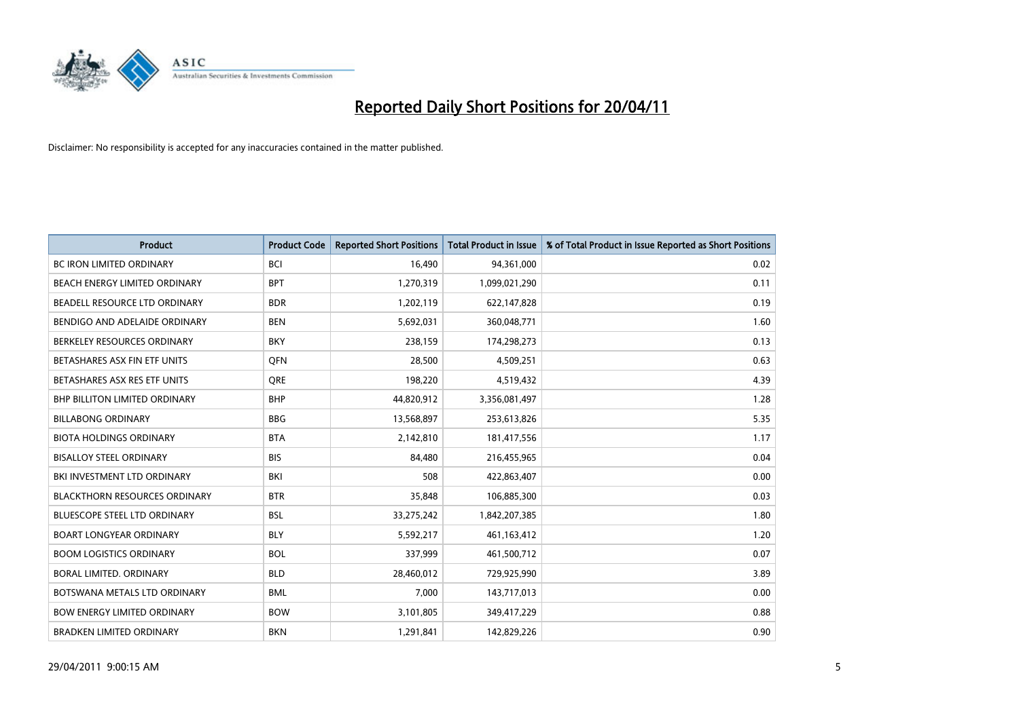

| <b>Product</b>                       | <b>Product Code</b> | <b>Reported Short Positions</b> | <b>Total Product in Issue</b> | % of Total Product in Issue Reported as Short Positions |
|--------------------------------------|---------------------|---------------------------------|-------------------------------|---------------------------------------------------------|
| <b>BC IRON LIMITED ORDINARY</b>      | <b>BCI</b>          | 16,490                          | 94,361,000                    | 0.02                                                    |
| BEACH ENERGY LIMITED ORDINARY        | <b>BPT</b>          | 1,270,319                       | 1,099,021,290                 | 0.11                                                    |
| BEADELL RESOURCE LTD ORDINARY        | <b>BDR</b>          | 1,202,119                       | 622,147,828                   | 0.19                                                    |
| BENDIGO AND ADELAIDE ORDINARY        | <b>BEN</b>          | 5,692,031                       | 360,048,771                   | 1.60                                                    |
| BERKELEY RESOURCES ORDINARY          | <b>BKY</b>          | 238,159                         | 174,298,273                   | 0.13                                                    |
| BETASHARES ASX FIN ETF UNITS         | <b>OFN</b>          | 28,500                          | 4,509,251                     | 0.63                                                    |
| BETASHARES ASX RES ETF UNITS         | <b>ORE</b>          | 198,220                         | 4,519,432                     | 4.39                                                    |
| <b>BHP BILLITON LIMITED ORDINARY</b> | <b>BHP</b>          | 44,820,912                      | 3,356,081,497                 | 1.28                                                    |
| <b>BILLABONG ORDINARY</b>            | <b>BBG</b>          | 13,568,897                      | 253,613,826                   | 5.35                                                    |
| <b>BIOTA HOLDINGS ORDINARY</b>       | <b>BTA</b>          | 2,142,810                       | 181,417,556                   | 1.17                                                    |
| <b>BISALLOY STEEL ORDINARY</b>       | <b>BIS</b>          | 84,480                          | 216,455,965                   | 0.04                                                    |
| BKI INVESTMENT LTD ORDINARY          | <b>BKI</b>          | 508                             | 422,863,407                   | 0.00                                                    |
| <b>BLACKTHORN RESOURCES ORDINARY</b> | <b>BTR</b>          | 35,848                          | 106,885,300                   | 0.03                                                    |
| <b>BLUESCOPE STEEL LTD ORDINARY</b>  | <b>BSL</b>          | 33,275,242                      | 1,842,207,385                 | 1.80                                                    |
| <b>BOART LONGYEAR ORDINARY</b>       | <b>BLY</b>          | 5,592,217                       | 461,163,412                   | 1.20                                                    |
| <b>BOOM LOGISTICS ORDINARY</b>       | <b>BOL</b>          | 337,999                         | 461,500,712                   | 0.07                                                    |
| BORAL LIMITED. ORDINARY              | <b>BLD</b>          | 28,460,012                      | 729,925,990                   | 3.89                                                    |
| BOTSWANA METALS LTD ORDINARY         | <b>BML</b>          | 7,000                           | 143,717,013                   | 0.00                                                    |
| <b>BOW ENERGY LIMITED ORDINARY</b>   | <b>BOW</b>          | 3,101,805                       | 349,417,229                   | 0.88                                                    |
| <b>BRADKEN LIMITED ORDINARY</b>      | <b>BKN</b>          | 1,291,841                       | 142,829,226                   | 0.90                                                    |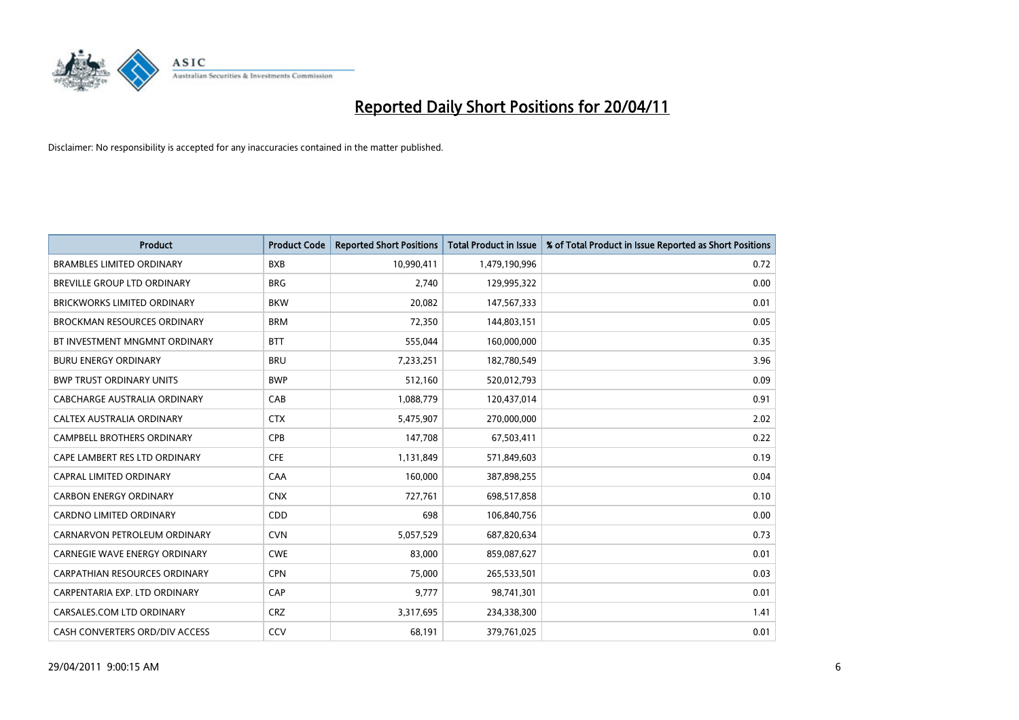

| <b>Product</b>                       | <b>Product Code</b> | <b>Reported Short Positions</b> | <b>Total Product in Issue</b> | % of Total Product in Issue Reported as Short Positions |
|--------------------------------------|---------------------|---------------------------------|-------------------------------|---------------------------------------------------------|
| <b>BRAMBLES LIMITED ORDINARY</b>     | <b>BXB</b>          | 10,990,411                      | 1,479,190,996                 | 0.72                                                    |
| BREVILLE GROUP LTD ORDINARY          | <b>BRG</b>          | 2,740                           | 129,995,322                   | 0.00                                                    |
| <b>BRICKWORKS LIMITED ORDINARY</b>   | <b>BKW</b>          | 20,082                          | 147,567,333                   | 0.01                                                    |
| <b>BROCKMAN RESOURCES ORDINARY</b>   | <b>BRM</b>          | 72,350                          | 144,803,151                   | 0.05                                                    |
| BT INVESTMENT MNGMNT ORDINARY        | <b>BTT</b>          | 555,044                         | 160,000,000                   | 0.35                                                    |
| <b>BURU ENERGY ORDINARY</b>          | <b>BRU</b>          | 7,233,251                       | 182,780,549                   | 3.96                                                    |
| <b>BWP TRUST ORDINARY UNITS</b>      | <b>BWP</b>          | 512,160                         | 520,012,793                   | 0.09                                                    |
| CABCHARGE AUSTRALIA ORDINARY         | CAB                 | 1,088,779                       | 120,437,014                   | 0.91                                                    |
| CALTEX AUSTRALIA ORDINARY            | <b>CTX</b>          | 5,475,907                       | 270,000,000                   | 2.02                                                    |
| <b>CAMPBELL BROTHERS ORDINARY</b>    | <b>CPB</b>          | 147,708                         | 67,503,411                    | 0.22                                                    |
| CAPE LAMBERT RES LTD ORDINARY        | <b>CFE</b>          | 1,131,849                       | 571,849,603                   | 0.19                                                    |
| CAPRAL LIMITED ORDINARY              | CAA                 | 160,000                         | 387,898,255                   | 0.04                                                    |
| <b>CARBON ENERGY ORDINARY</b>        | <b>CNX</b>          | 727,761                         | 698,517,858                   | 0.10                                                    |
| <b>CARDNO LIMITED ORDINARY</b>       | CDD                 | 698                             | 106,840,756                   | 0.00                                                    |
| CARNARVON PETROLEUM ORDINARY         | <b>CVN</b>          | 5,057,529                       | 687,820,634                   | 0.73                                                    |
| <b>CARNEGIE WAVE ENERGY ORDINARY</b> | <b>CWE</b>          | 83,000                          | 859,087,627                   | 0.01                                                    |
| CARPATHIAN RESOURCES ORDINARY        | <b>CPN</b>          | 75,000                          | 265,533,501                   | 0.03                                                    |
| CARPENTARIA EXP. LTD ORDINARY        | CAP                 | 9,777                           | 98,741,301                    | 0.01                                                    |
| CARSALES.COM LTD ORDINARY            | <b>CRZ</b>          | 3,317,695                       | 234,338,300                   | 1.41                                                    |
| CASH CONVERTERS ORD/DIV ACCESS       | CCV                 | 68,191                          | 379,761,025                   | 0.01                                                    |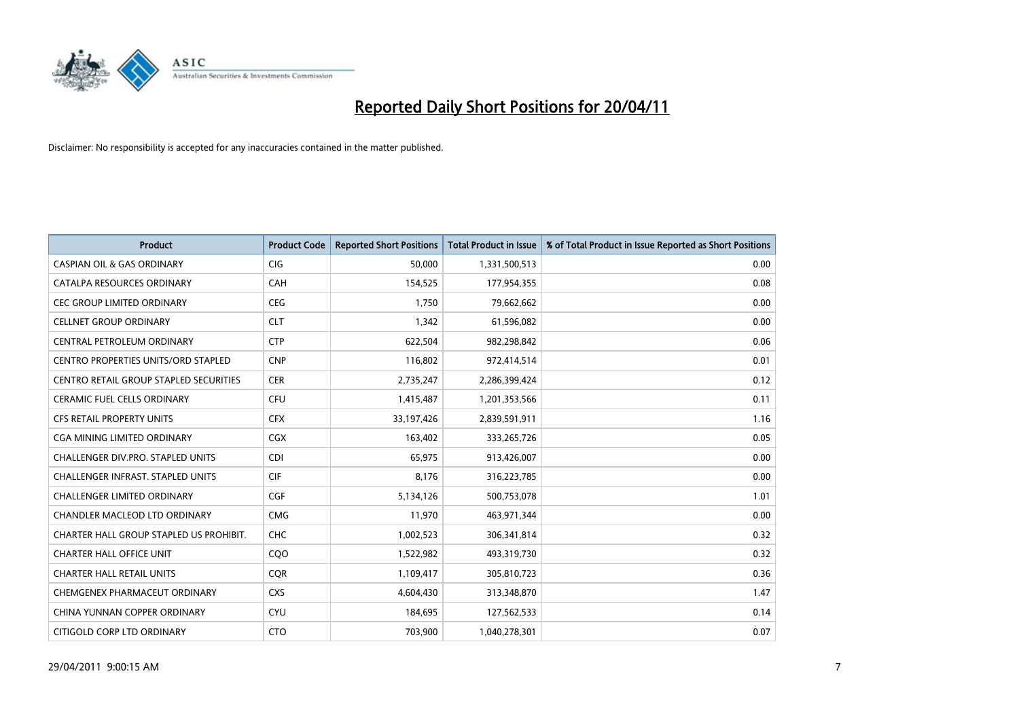

| <b>Product</b>                                | <b>Product Code</b> | <b>Reported Short Positions</b> | <b>Total Product in Issue</b> | % of Total Product in Issue Reported as Short Positions |
|-----------------------------------------------|---------------------|---------------------------------|-------------------------------|---------------------------------------------------------|
| <b>CASPIAN OIL &amp; GAS ORDINARY</b>         | <b>CIG</b>          | 50,000                          | 1,331,500,513                 | 0.00                                                    |
| CATALPA RESOURCES ORDINARY                    | CAH                 | 154,525                         | 177,954,355                   | 0.08                                                    |
| <b>CEC GROUP LIMITED ORDINARY</b>             | <b>CEG</b>          | 1,750                           | 79,662,662                    | 0.00                                                    |
| <b>CELLNET GROUP ORDINARY</b>                 | <b>CLT</b>          | 1,342                           | 61,596,082                    | 0.00                                                    |
| CENTRAL PETROLEUM ORDINARY                    | <b>CTP</b>          | 622,504                         | 982,298,842                   | 0.06                                                    |
| <b>CENTRO PROPERTIES UNITS/ORD STAPLED</b>    | <b>CNP</b>          | 116,802                         | 972,414,514                   | 0.01                                                    |
| <b>CENTRO RETAIL GROUP STAPLED SECURITIES</b> | <b>CER</b>          | 2,735,247                       | 2,286,399,424                 | 0.12                                                    |
| CERAMIC FUEL CELLS ORDINARY                   | <b>CFU</b>          | 1,415,487                       | 1,201,353,566                 | 0.11                                                    |
| <b>CFS RETAIL PROPERTY UNITS</b>              | <b>CFX</b>          | 33,197,426                      | 2,839,591,911                 | 1.16                                                    |
| <b>CGA MINING LIMITED ORDINARY</b>            | <b>CGX</b>          | 163,402                         | 333,265,726                   | 0.05                                                    |
| CHALLENGER DIV.PRO. STAPLED UNITS             | <b>CDI</b>          | 65,975                          | 913,426,007                   | 0.00                                                    |
| <b>CHALLENGER INFRAST, STAPLED UNITS</b>      | <b>CIF</b>          | 8,176                           | 316,223,785                   | 0.00                                                    |
| CHALLENGER LIMITED ORDINARY                   | CGF                 | 5,134,126                       | 500,753,078                   | 1.01                                                    |
| <b>CHANDLER MACLEOD LTD ORDINARY</b>          | <b>CMG</b>          | 11,970                          | 463,971,344                   | 0.00                                                    |
| CHARTER HALL GROUP STAPLED US PROHIBIT.       | <b>CHC</b>          | 1,002,523                       | 306,341,814                   | 0.32                                                    |
| <b>CHARTER HALL OFFICE UNIT</b>               | COO                 | 1,522,982                       | 493,319,730                   | 0.32                                                    |
| <b>CHARTER HALL RETAIL UNITS</b>              | <b>CQR</b>          | 1,109,417                       | 305,810,723                   | 0.36                                                    |
| CHEMGENEX PHARMACEUT ORDINARY                 | <b>CXS</b>          | 4,604,430                       | 313,348,870                   | 1.47                                                    |
| CHINA YUNNAN COPPER ORDINARY                  | <b>CYU</b>          | 184,695                         | 127,562,533                   | 0.14                                                    |
| CITIGOLD CORP LTD ORDINARY                    | <b>CTO</b>          | 703,900                         | 1,040,278,301                 | 0.07                                                    |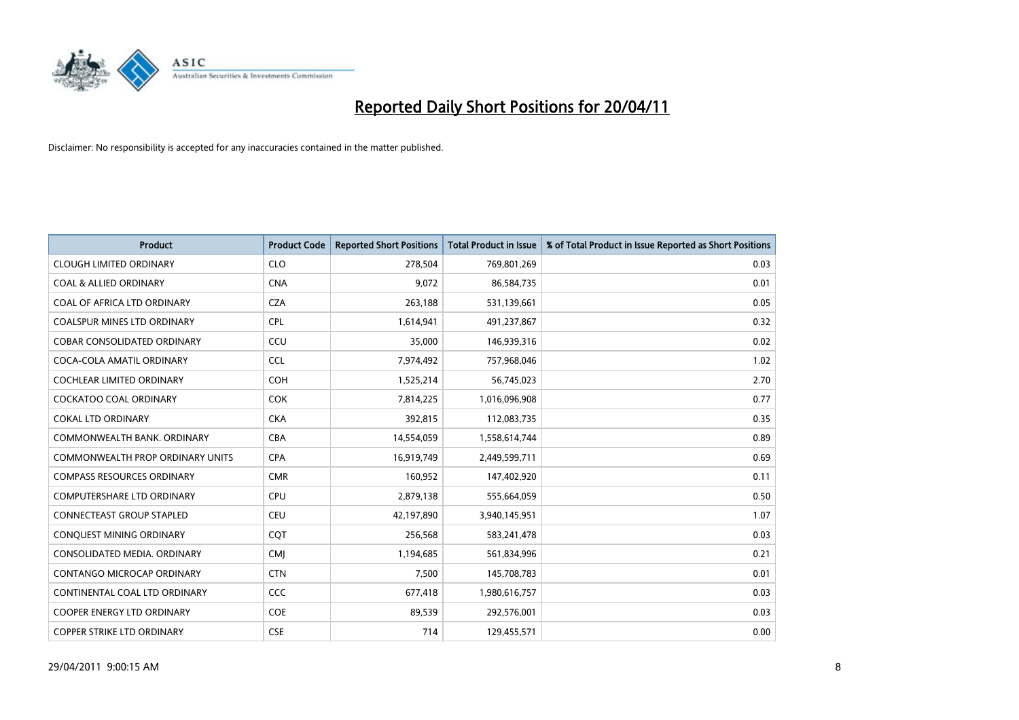

| <b>Product</b>                     | <b>Product Code</b> | <b>Reported Short Positions</b> | <b>Total Product in Issue</b> | % of Total Product in Issue Reported as Short Positions |
|------------------------------------|---------------------|---------------------------------|-------------------------------|---------------------------------------------------------|
| <b>CLOUGH LIMITED ORDINARY</b>     | <b>CLO</b>          | 278,504                         | 769,801,269                   | 0.03                                                    |
| <b>COAL &amp; ALLIED ORDINARY</b>  | <b>CNA</b>          | 9,072                           | 86,584,735                    | 0.01                                                    |
| COAL OF AFRICA LTD ORDINARY        | <b>CZA</b>          | 263,188                         | 531,139,661                   | 0.05                                                    |
| COALSPUR MINES LTD ORDINARY        | <b>CPL</b>          | 1,614,941                       | 491,237,867                   | 0.32                                                    |
| <b>COBAR CONSOLIDATED ORDINARY</b> | CCU                 | 35,000                          | 146,939,316                   | 0.02                                                    |
| COCA-COLA AMATIL ORDINARY          | <b>CCL</b>          | 7,974,492                       | 757,968,046                   | 1.02                                                    |
| <b>COCHLEAR LIMITED ORDINARY</b>   | <b>COH</b>          | 1,525,214                       | 56,745,023                    | 2.70                                                    |
| <b>COCKATOO COAL ORDINARY</b>      | <b>COK</b>          | 7,814,225                       | 1,016,096,908                 | 0.77                                                    |
| <b>COKAL LTD ORDINARY</b>          | <b>CKA</b>          | 392,815                         | 112,083,735                   | 0.35                                                    |
| COMMONWEALTH BANK, ORDINARY        | <b>CBA</b>          | 14,554,059                      | 1,558,614,744                 | 0.89                                                    |
| COMMONWEALTH PROP ORDINARY UNITS   | <b>CPA</b>          | 16,919,749                      | 2,449,599,711                 | 0.69                                                    |
| <b>COMPASS RESOURCES ORDINARY</b>  | <b>CMR</b>          | 160,952                         | 147,402,920                   | 0.11                                                    |
| <b>COMPUTERSHARE LTD ORDINARY</b>  | <b>CPU</b>          | 2,879,138                       | 555,664,059                   | 0.50                                                    |
| CONNECTEAST GROUP STAPLED          | <b>CEU</b>          | 42,197,890                      | 3,940,145,951                 | 1.07                                                    |
| CONQUEST MINING ORDINARY           | CQT                 | 256,568                         | 583,241,478                   | 0.03                                                    |
| CONSOLIDATED MEDIA. ORDINARY       | <b>CMI</b>          | 1,194,685                       | 561,834,996                   | 0.21                                                    |
| <b>CONTANGO MICROCAP ORDINARY</b>  | <b>CTN</b>          | 7,500                           | 145,708,783                   | 0.01                                                    |
| CONTINENTAL COAL LTD ORDINARY      | CCC                 | 677,418                         | 1,980,616,757                 | 0.03                                                    |
| <b>COOPER ENERGY LTD ORDINARY</b>  | <b>COE</b>          | 89,539                          | 292,576,001                   | 0.03                                                    |
| <b>COPPER STRIKE LTD ORDINARY</b>  | <b>CSE</b>          | 714                             | 129,455,571                   | 0.00                                                    |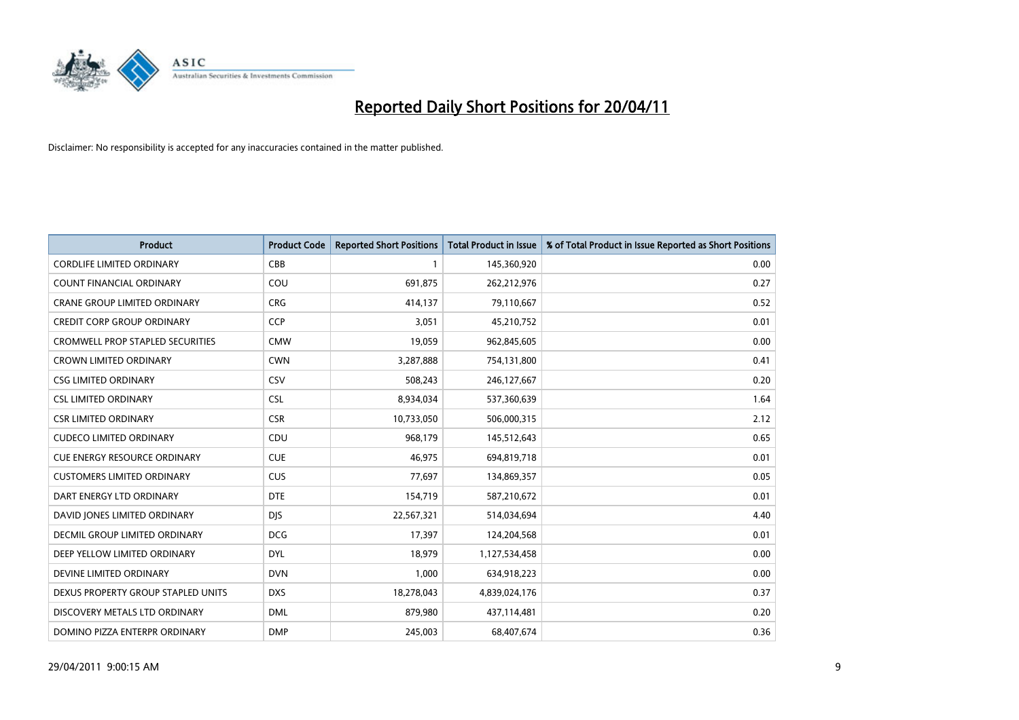

| <b>Product</b>                          | <b>Product Code</b> | <b>Reported Short Positions</b> | <b>Total Product in Issue</b> | % of Total Product in Issue Reported as Short Positions |
|-----------------------------------------|---------------------|---------------------------------|-------------------------------|---------------------------------------------------------|
| <b>CORDLIFE LIMITED ORDINARY</b>        | CBB                 |                                 | 145,360,920                   | 0.00                                                    |
| COUNT FINANCIAL ORDINARY                | COU                 | 691,875                         | 262,212,976                   | 0.27                                                    |
| <b>CRANE GROUP LIMITED ORDINARY</b>     | <b>CRG</b>          | 414,137                         | 79,110,667                    | 0.52                                                    |
| <b>CREDIT CORP GROUP ORDINARY</b>       | CCP                 | 3,051                           | 45,210,752                    | 0.01                                                    |
| <b>CROMWELL PROP STAPLED SECURITIES</b> | <b>CMW</b>          | 19,059                          | 962,845,605                   | 0.00                                                    |
| <b>CROWN LIMITED ORDINARY</b>           | <b>CWN</b>          | 3,287,888                       | 754,131,800                   | 0.41                                                    |
| <b>CSG LIMITED ORDINARY</b>             | CSV                 | 508,243                         | 246,127,667                   | 0.20                                                    |
| <b>CSL LIMITED ORDINARY</b>             | <b>CSL</b>          | 8,934,034                       | 537,360,639                   | 1.64                                                    |
| <b>CSR LIMITED ORDINARY</b>             | <b>CSR</b>          | 10,733,050                      | 506,000,315                   | 2.12                                                    |
| <b>CUDECO LIMITED ORDINARY</b>          | CDU                 | 968,179                         | 145,512,643                   | 0.65                                                    |
| <b>CUE ENERGY RESOURCE ORDINARY</b>     | <b>CUE</b>          | 46,975                          | 694,819,718                   | 0.01                                                    |
| <b>CUSTOMERS LIMITED ORDINARY</b>       | CUS                 | 77,697                          | 134,869,357                   | 0.05                                                    |
| DART ENERGY LTD ORDINARY                | <b>DTE</b>          | 154,719                         | 587,210,672                   | 0.01                                                    |
| DAVID JONES LIMITED ORDINARY            | <b>DJS</b>          | 22,567,321                      | 514,034,694                   | 4.40                                                    |
| DECMIL GROUP LIMITED ORDINARY           | <b>DCG</b>          | 17,397                          | 124,204,568                   | 0.01                                                    |
| DEEP YELLOW LIMITED ORDINARY            | <b>DYL</b>          | 18,979                          | 1,127,534,458                 | 0.00                                                    |
| DEVINE LIMITED ORDINARY                 | <b>DVN</b>          | 1,000                           | 634,918,223                   | 0.00                                                    |
| DEXUS PROPERTY GROUP STAPLED UNITS      | <b>DXS</b>          | 18,278,043                      | 4,839,024,176                 | 0.37                                                    |
| DISCOVERY METALS LTD ORDINARY           | <b>DML</b>          | 879,980                         | 437,114,481                   | 0.20                                                    |
| DOMINO PIZZA ENTERPR ORDINARY           | <b>DMP</b>          | 245,003                         | 68,407,674                    | 0.36                                                    |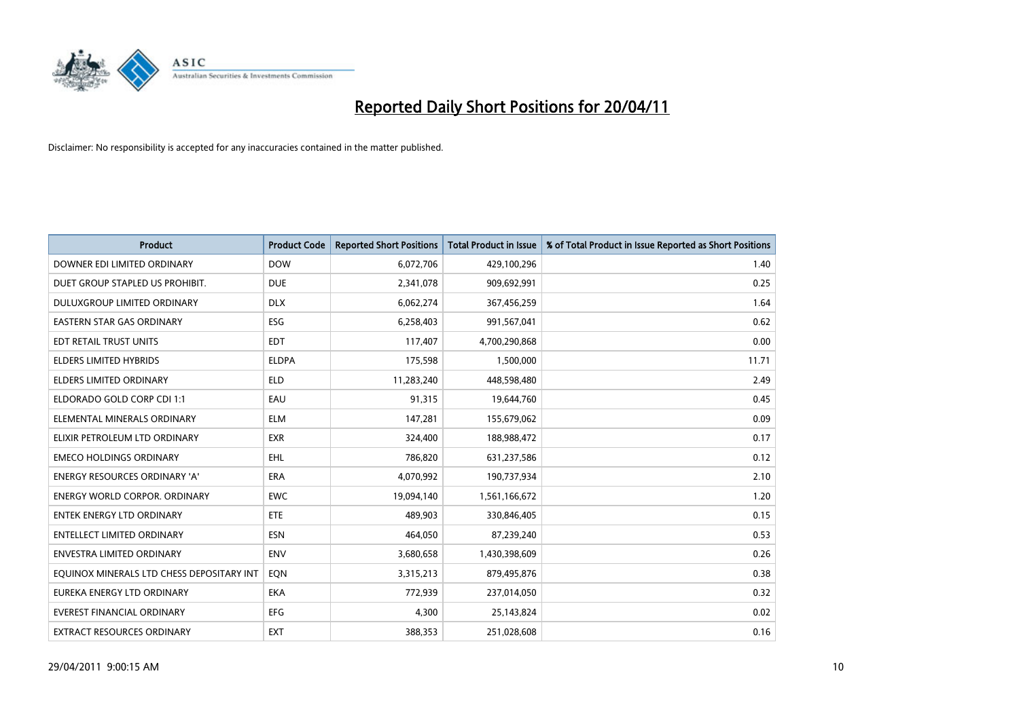

| <b>Product</b>                            | <b>Product Code</b> | <b>Reported Short Positions</b> | <b>Total Product in Issue</b> | % of Total Product in Issue Reported as Short Positions |
|-------------------------------------------|---------------------|---------------------------------|-------------------------------|---------------------------------------------------------|
| DOWNER EDI LIMITED ORDINARY               | <b>DOW</b>          | 6,072,706                       | 429,100,296                   | 1.40                                                    |
| DUET GROUP STAPLED US PROHIBIT.           | <b>DUE</b>          | 2,341,078                       | 909,692,991                   | 0.25                                                    |
| DULUXGROUP LIMITED ORDINARY               | <b>DLX</b>          | 6,062,274                       | 367,456,259                   | 1.64                                                    |
| <b>EASTERN STAR GAS ORDINARY</b>          | ESG                 | 6,258,403                       | 991,567,041                   | 0.62                                                    |
| EDT RETAIL TRUST UNITS                    | <b>EDT</b>          | 117,407                         | 4,700,290,868                 | 0.00                                                    |
| <b>ELDERS LIMITED HYBRIDS</b>             | <b>ELDPA</b>        | 175,598                         | 1,500,000                     | 11.71                                                   |
| <b>ELDERS LIMITED ORDINARY</b>            | <b>ELD</b>          | 11,283,240                      | 448,598,480                   | 2.49                                                    |
| ELDORADO GOLD CORP CDI 1:1                | EAU                 | 91,315                          | 19,644,760                    | 0.45                                                    |
| ELEMENTAL MINERALS ORDINARY               | <b>ELM</b>          | 147,281                         | 155,679,062                   | 0.09                                                    |
| ELIXIR PETROLEUM LTD ORDINARY             | <b>EXR</b>          | 324,400                         | 188,988,472                   | 0.17                                                    |
| <b>EMECO HOLDINGS ORDINARY</b>            | <b>EHL</b>          | 786,820                         | 631,237,586                   | 0.12                                                    |
| <b>ENERGY RESOURCES ORDINARY 'A'</b>      | ERA                 | 4,070,992                       | 190,737,934                   | 2.10                                                    |
| ENERGY WORLD CORPOR. ORDINARY             | <b>EWC</b>          | 19,094,140                      | 1,561,166,672                 | 1.20                                                    |
| <b>ENTEK ENERGY LTD ORDINARY</b>          | ETE                 | 489,903                         | 330,846,405                   | 0.15                                                    |
| <b>ENTELLECT LIMITED ORDINARY</b>         | <b>ESN</b>          | 464,050                         | 87,239,240                    | 0.53                                                    |
| ENVESTRA LIMITED ORDINARY                 | ENV                 | 3,680,658                       | 1,430,398,609                 | 0.26                                                    |
| EQUINOX MINERALS LTD CHESS DEPOSITARY INT | EON                 | 3,315,213                       | 879,495,876                   | 0.38                                                    |
| EUREKA ENERGY LTD ORDINARY                | <b>EKA</b>          | 772,939                         | 237,014,050                   | 0.32                                                    |
| <b>EVEREST FINANCIAL ORDINARY</b>         | <b>EFG</b>          | 4,300                           | 25,143,824                    | 0.02                                                    |
| <b>EXTRACT RESOURCES ORDINARY</b>         | <b>EXT</b>          | 388.353                         | 251,028,608                   | 0.16                                                    |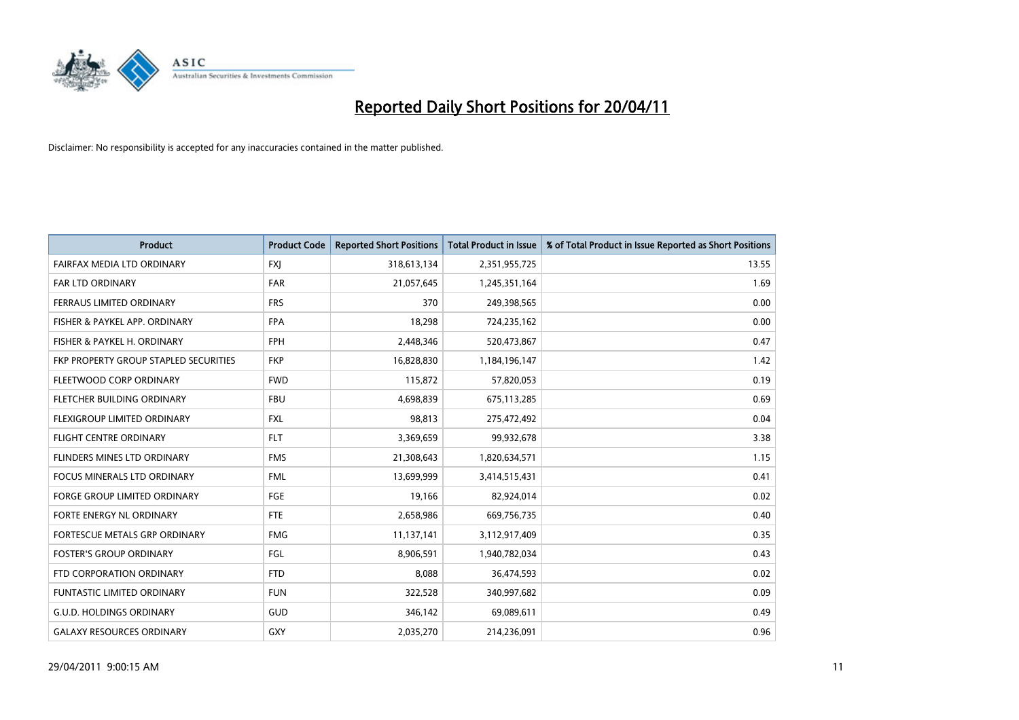

| <b>Product</b>                        | <b>Product Code</b> | <b>Reported Short Positions</b> | <b>Total Product in Issue</b> | % of Total Product in Issue Reported as Short Positions |
|---------------------------------------|---------------------|---------------------------------|-------------------------------|---------------------------------------------------------|
| FAIRFAX MEDIA LTD ORDINARY            | <b>FXJ</b>          | 318,613,134                     | 2,351,955,725                 | 13.55                                                   |
| FAR LTD ORDINARY                      | <b>FAR</b>          | 21,057,645                      | 1,245,351,164                 | 1.69                                                    |
| <b>FERRAUS LIMITED ORDINARY</b>       | <b>FRS</b>          | 370                             | 249,398,565                   | 0.00                                                    |
| FISHER & PAYKEL APP. ORDINARY         | <b>FPA</b>          | 18,298                          | 724,235,162                   | 0.00                                                    |
| FISHER & PAYKEL H. ORDINARY           | <b>FPH</b>          | 2,448,346                       | 520,473,867                   | 0.47                                                    |
| FKP PROPERTY GROUP STAPLED SECURITIES | <b>FKP</b>          | 16,828,830                      | 1,184,196,147                 | 1.42                                                    |
| FLEETWOOD CORP ORDINARY               | <b>FWD</b>          | 115,872                         | 57,820,053                    | 0.19                                                    |
| <b>FLETCHER BUILDING ORDINARY</b>     | <b>FBU</b>          | 4,698,839                       | 675,113,285                   | 0.69                                                    |
| FLEXIGROUP LIMITED ORDINARY           | <b>FXL</b>          | 98,813                          | 275,472,492                   | 0.04                                                    |
| <b>FLIGHT CENTRE ORDINARY</b>         | <b>FLT</b>          | 3,369,659                       | 99,932,678                    | 3.38                                                    |
| FLINDERS MINES LTD ORDINARY           | <b>FMS</b>          | 21,308,643                      | 1,820,634,571                 | 1.15                                                    |
| FOCUS MINERALS LTD ORDINARY           | <b>FML</b>          | 13,699,999                      | 3,414,515,431                 | 0.41                                                    |
| <b>FORGE GROUP LIMITED ORDINARY</b>   | <b>FGE</b>          | 19,166                          | 82,924,014                    | 0.02                                                    |
| FORTE ENERGY NL ORDINARY              | <b>FTE</b>          | 2,658,986                       | 669,756,735                   | 0.40                                                    |
| FORTESCUE METALS GRP ORDINARY         | <b>FMG</b>          | 11,137,141                      | 3,112,917,409                 | 0.35                                                    |
| <b>FOSTER'S GROUP ORDINARY</b>        | FGL                 | 8,906,591                       | 1,940,782,034                 | 0.43                                                    |
| FTD CORPORATION ORDINARY              | <b>FTD</b>          | 8,088                           | 36,474,593                    | 0.02                                                    |
| FUNTASTIC LIMITED ORDINARY            | <b>FUN</b>          | 322,528                         | 340,997,682                   | 0.09                                                    |
| <b>G.U.D. HOLDINGS ORDINARY</b>       | <b>GUD</b>          | 346,142                         | 69,089,611                    | 0.49                                                    |
| <b>GALAXY RESOURCES ORDINARY</b>      | GXY                 | 2,035,270                       | 214,236,091                   | 0.96                                                    |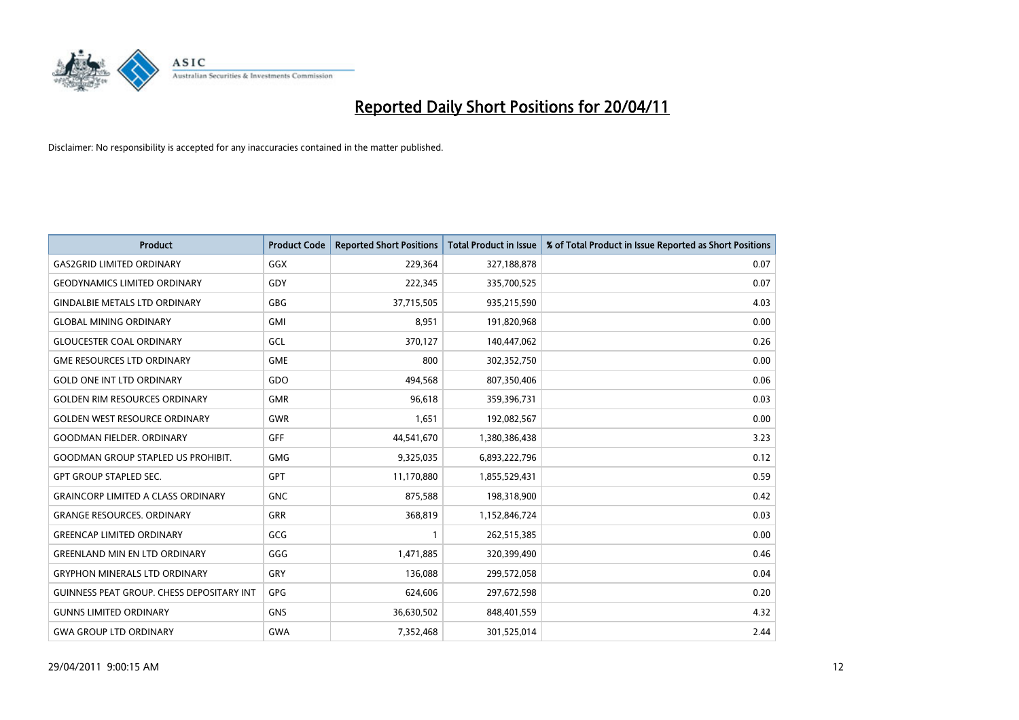

| <b>Product</b>                            | <b>Product Code</b> | <b>Reported Short Positions</b> | <b>Total Product in Issue</b> | % of Total Product in Issue Reported as Short Positions |
|-------------------------------------------|---------------------|---------------------------------|-------------------------------|---------------------------------------------------------|
| <b>GAS2GRID LIMITED ORDINARY</b>          | GGX                 | 229,364                         | 327,188,878                   | 0.07                                                    |
| <b>GEODYNAMICS LIMITED ORDINARY</b>       | GDY                 | 222,345                         | 335,700,525                   | 0.07                                                    |
| <b>GINDALBIE METALS LTD ORDINARY</b>      | <b>GBG</b>          | 37,715,505                      | 935,215,590                   | 4.03                                                    |
| <b>GLOBAL MINING ORDINARY</b>             | <b>GMI</b>          | 8,951                           | 191,820,968                   | 0.00                                                    |
| <b>GLOUCESTER COAL ORDINARY</b>           | GCL                 | 370,127                         | 140,447,062                   | 0.26                                                    |
| <b>GME RESOURCES LTD ORDINARY</b>         | <b>GME</b>          | 800                             | 302,352,750                   | 0.00                                                    |
| <b>GOLD ONE INT LTD ORDINARY</b>          | GDO                 | 494,568                         | 807,350,406                   | 0.06                                                    |
| <b>GOLDEN RIM RESOURCES ORDINARY</b>      | <b>GMR</b>          | 96.618                          | 359,396,731                   | 0.03                                                    |
| <b>GOLDEN WEST RESOURCE ORDINARY</b>      | GWR                 | 1,651                           | 192,082,567                   | 0.00                                                    |
| <b>GOODMAN FIELDER, ORDINARY</b>          | <b>GFF</b>          | 44,541,670                      | 1,380,386,438                 | 3.23                                                    |
| <b>GOODMAN GROUP STAPLED US PROHIBIT.</b> | <b>GMG</b>          | 9,325,035                       | 6,893,222,796                 | 0.12                                                    |
| <b>GPT GROUP STAPLED SEC.</b>             | <b>GPT</b>          | 11,170,880                      | 1,855,529,431                 | 0.59                                                    |
| <b>GRAINCORP LIMITED A CLASS ORDINARY</b> | <b>GNC</b>          | 875,588                         | 198,318,900                   | 0.42                                                    |
| <b>GRANGE RESOURCES, ORDINARY</b>         | <b>GRR</b>          | 368,819                         | 1,152,846,724                 | 0.03                                                    |
| <b>GREENCAP LIMITED ORDINARY</b>          | GCG                 |                                 | 262,515,385                   | 0.00                                                    |
| <b>GREENLAND MIN EN LTD ORDINARY</b>      | GGG                 | 1,471,885                       | 320,399,490                   | 0.46                                                    |
| <b>GRYPHON MINERALS LTD ORDINARY</b>      | GRY                 | 136,088                         | 299,572,058                   | 0.04                                                    |
| GUINNESS PEAT GROUP. CHESS DEPOSITARY INT | <b>GPG</b>          | 624,606                         | 297,672,598                   | 0.20                                                    |
| <b>GUNNS LIMITED ORDINARY</b>             | <b>GNS</b>          | 36,630,502                      | 848,401,559                   | 4.32                                                    |
| <b>GWA GROUP LTD ORDINARY</b>             | <b>GWA</b>          | 7,352,468                       | 301,525,014                   | 2.44                                                    |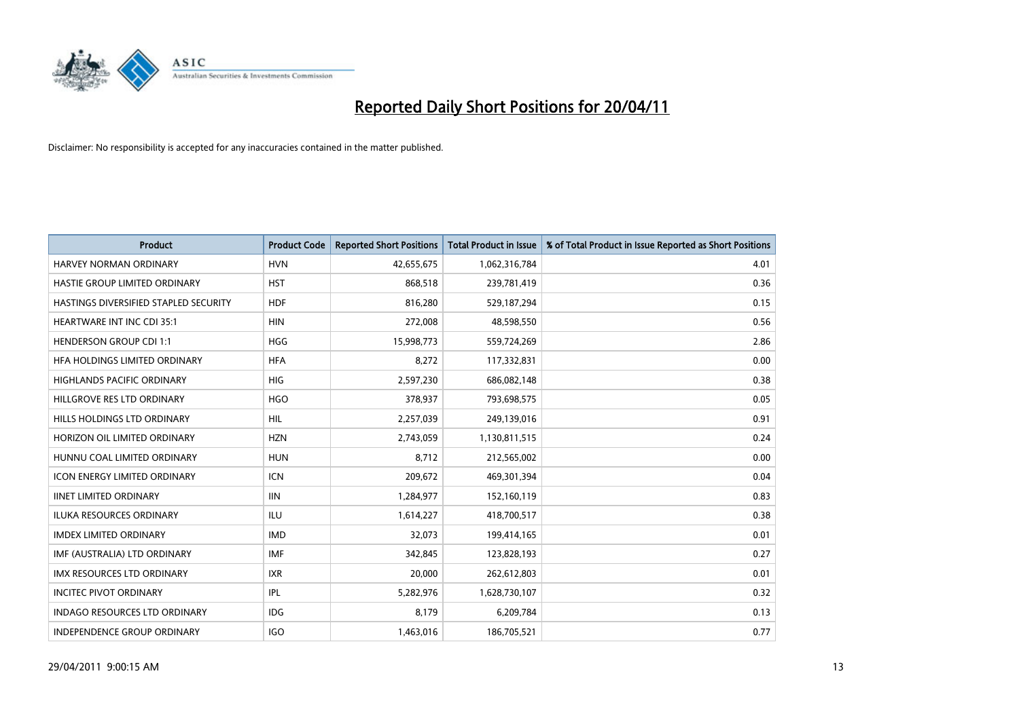

| <b>Product</b>                        | <b>Product Code</b> | <b>Reported Short Positions</b> | <b>Total Product in Issue</b> | % of Total Product in Issue Reported as Short Positions |
|---------------------------------------|---------------------|---------------------------------|-------------------------------|---------------------------------------------------------|
| <b>HARVEY NORMAN ORDINARY</b>         | <b>HVN</b>          | 42,655,675                      | 1,062,316,784                 | 4.01                                                    |
| HASTIE GROUP LIMITED ORDINARY         | <b>HST</b>          | 868,518                         | 239,781,419                   | 0.36                                                    |
| HASTINGS DIVERSIFIED STAPLED SECURITY | <b>HDF</b>          | 816,280                         | 529,187,294                   | 0.15                                                    |
| HEARTWARE INT INC CDI 35:1            | <b>HIN</b>          | 272,008                         | 48,598,550                    | 0.56                                                    |
| <b>HENDERSON GROUP CDI 1:1</b>        | <b>HGG</b>          | 15,998,773                      | 559,724,269                   | 2.86                                                    |
| HFA HOLDINGS LIMITED ORDINARY         | <b>HFA</b>          | 8,272                           | 117,332,831                   | 0.00                                                    |
| <b>HIGHLANDS PACIFIC ORDINARY</b>     | <b>HIG</b>          | 2,597,230                       | 686,082,148                   | 0.38                                                    |
| HILLGROVE RES LTD ORDINARY            | <b>HGO</b>          | 378,937                         | 793,698,575                   | 0.05                                                    |
| HILLS HOLDINGS LTD ORDINARY           | HIL                 | 2,257,039                       | 249,139,016                   | 0.91                                                    |
| HORIZON OIL LIMITED ORDINARY          | <b>HZN</b>          | 2,743,059                       | 1,130,811,515                 | 0.24                                                    |
| HUNNU COAL LIMITED ORDINARY           | <b>HUN</b>          | 8,712                           | 212,565,002                   | 0.00                                                    |
| <b>ICON ENERGY LIMITED ORDINARY</b>   | <b>ICN</b>          | 209,672                         | 469,301,394                   | 0.04                                                    |
| <b>IINET LIMITED ORDINARY</b>         | <b>IIN</b>          | 1,284,977                       | 152,160,119                   | 0.83                                                    |
| <b>ILUKA RESOURCES ORDINARY</b>       | <b>ILU</b>          | 1,614,227                       | 418,700,517                   | 0.38                                                    |
| <b>IMDEX LIMITED ORDINARY</b>         | <b>IMD</b>          | 32,073                          | 199,414,165                   | 0.01                                                    |
| IMF (AUSTRALIA) LTD ORDINARY          | <b>IMF</b>          | 342,845                         | 123,828,193                   | 0.27                                                    |
| <b>IMX RESOURCES LTD ORDINARY</b>     | <b>IXR</b>          | 20,000                          | 262,612,803                   | 0.01                                                    |
| <b>INCITEC PIVOT ORDINARY</b>         | IPL                 | 5,282,976                       | 1,628,730,107                 | 0.32                                                    |
| <b>INDAGO RESOURCES LTD ORDINARY</b>  | <b>IDG</b>          | 8,179                           | 6,209,784                     | 0.13                                                    |
| INDEPENDENCE GROUP ORDINARY           | <b>IGO</b>          | 1,463,016                       | 186,705,521                   | 0.77                                                    |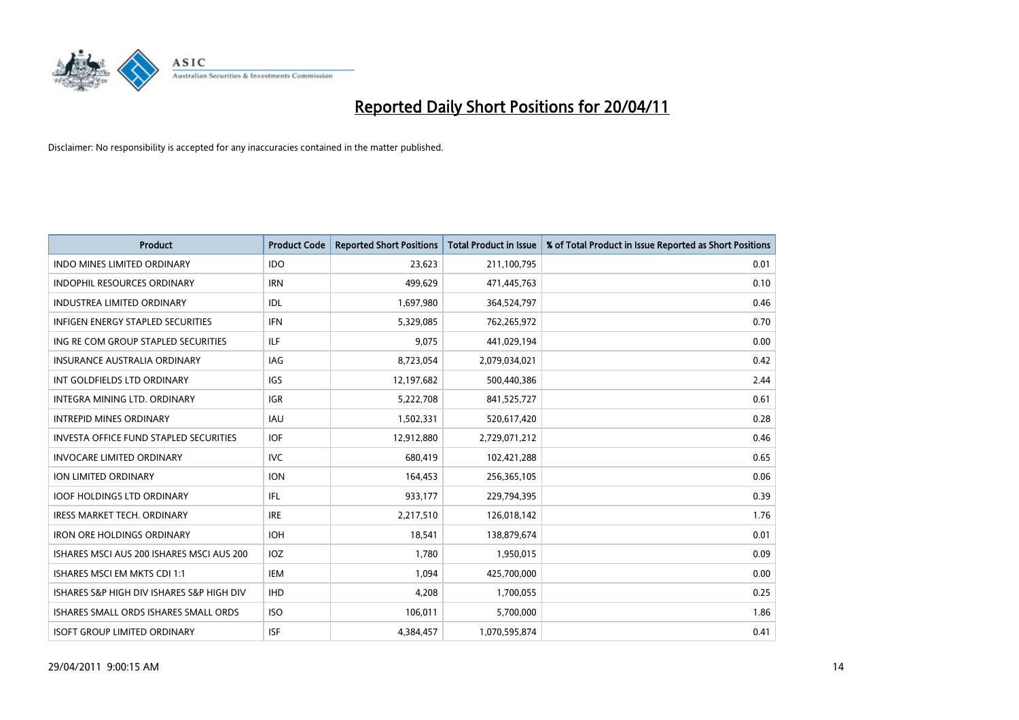

| <b>Product</b>                                | <b>Product Code</b> | <b>Reported Short Positions</b> | <b>Total Product in Issue</b> | % of Total Product in Issue Reported as Short Positions |
|-----------------------------------------------|---------------------|---------------------------------|-------------------------------|---------------------------------------------------------|
| <b>INDO MINES LIMITED ORDINARY</b>            | <b>IDO</b>          | 23.623                          | 211,100,795                   | 0.01                                                    |
| INDOPHIL RESOURCES ORDINARY                   | <b>IRN</b>          | 499,629                         | 471,445,763                   | 0.10                                                    |
| <b>INDUSTREA LIMITED ORDINARY</b>             | IDL                 | 1,697,980                       | 364,524,797                   | 0.46                                                    |
| INFIGEN ENERGY STAPLED SECURITIES             | <b>IFN</b>          | 5,329,085                       | 762,265,972                   | 0.70                                                    |
| ING RE COM GROUP STAPLED SECURITIES           | <b>ILF</b>          | 9.075                           | 441,029,194                   | 0.00                                                    |
| INSURANCE AUSTRALIA ORDINARY                  | IAG                 | 8,723,054                       | 2,079,034,021                 | 0.42                                                    |
| INT GOLDFIELDS LTD ORDINARY                   | <b>IGS</b>          | 12,197,682                      | 500,440,386                   | 2.44                                                    |
| INTEGRA MINING LTD, ORDINARY                  | <b>IGR</b>          | 5,222,708                       | 841,525,727                   | 0.61                                                    |
| <b>INTREPID MINES ORDINARY</b>                | <b>IAU</b>          | 1,502,331                       | 520,617,420                   | 0.28                                                    |
| <b>INVESTA OFFICE FUND STAPLED SECURITIES</b> | <b>IOF</b>          | 12,912,880                      | 2,729,071,212                 | 0.46                                                    |
| <b>INVOCARE LIMITED ORDINARY</b>              | <b>IVC</b>          | 680,419                         | 102,421,288                   | 0.65                                                    |
| <b>ION LIMITED ORDINARY</b>                   | <b>ION</b>          | 164,453                         | 256,365,105                   | 0.06                                                    |
| <b>IOOF HOLDINGS LTD ORDINARY</b>             | IFL.                | 933,177                         | 229,794,395                   | 0.39                                                    |
| <b>IRESS MARKET TECH. ORDINARY</b>            | <b>IRE</b>          | 2,217,510                       | 126,018,142                   | 1.76                                                    |
| <b>IRON ORE HOLDINGS ORDINARY</b>             | <b>IOH</b>          | 18.541                          | 138,879,674                   | 0.01                                                    |
| ISHARES MSCI AUS 200 ISHARES MSCI AUS 200     | <b>IOZ</b>          | 1,780                           | 1,950,015                     | 0.09                                                    |
| ISHARES MSCI EM MKTS CDI 1:1                  | <b>IEM</b>          | 1,094                           | 425,700,000                   | 0.00                                                    |
| ISHARES S&P HIGH DIV ISHARES S&P HIGH DIV     | <b>IHD</b>          | 4,208                           | 1,700,055                     | 0.25                                                    |
| ISHARES SMALL ORDS ISHARES SMALL ORDS         | <b>ISO</b>          | 106,011                         | 5,700,000                     | 1.86                                                    |
| <b>ISOFT GROUP LIMITED ORDINARY</b>           | <b>ISF</b>          | 4,384,457                       | 1,070,595,874                 | 0.41                                                    |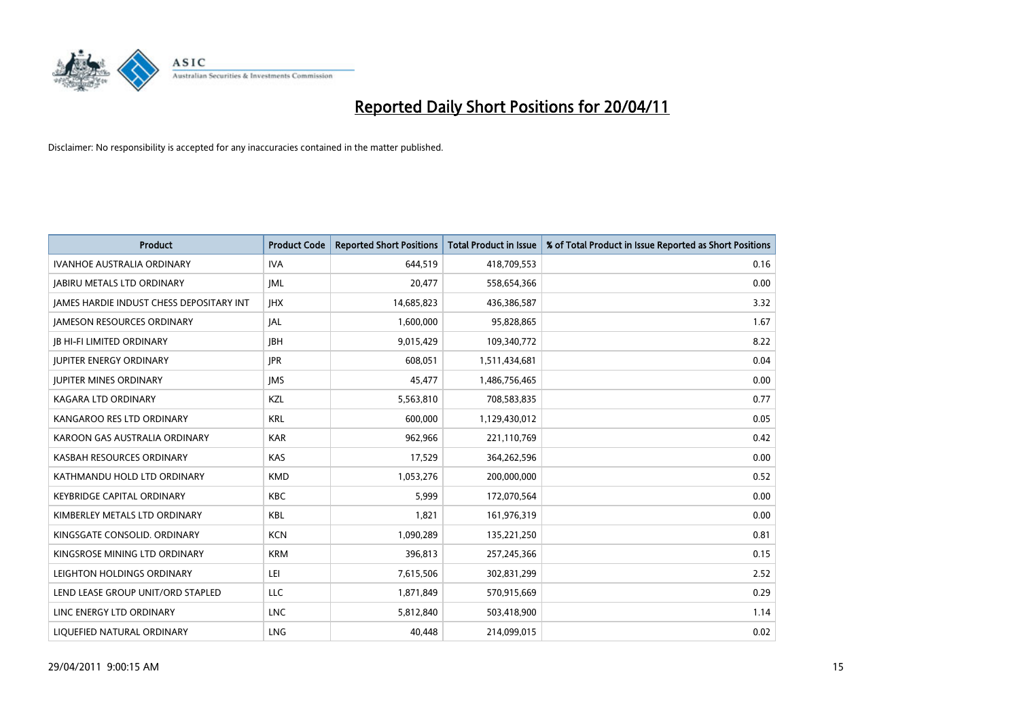

| <b>Product</b>                                  | <b>Product Code</b> | <b>Reported Short Positions</b> | <b>Total Product in Issue</b> | % of Total Product in Issue Reported as Short Positions |
|-------------------------------------------------|---------------------|---------------------------------|-------------------------------|---------------------------------------------------------|
| <b>IVANHOE AUSTRALIA ORDINARY</b>               | <b>IVA</b>          | 644,519                         | 418,709,553                   | 0.16                                                    |
| <b>JABIRU METALS LTD ORDINARY</b>               | IML                 | 20.477                          | 558,654,366                   | 0.00                                                    |
| <b>JAMES HARDIE INDUST CHESS DEPOSITARY INT</b> | <b>IHX</b>          | 14,685,823                      | 436,386,587                   | 3.32                                                    |
| <b>JAMESON RESOURCES ORDINARY</b>               | <b>JAL</b>          | 1,600,000                       | 95,828,865                    | 1.67                                                    |
| <b>IB HI-FI LIMITED ORDINARY</b>                | <b>IBH</b>          | 9,015,429                       | 109,340,772                   | 8.22                                                    |
| <b>JUPITER ENERGY ORDINARY</b>                  | <b>JPR</b>          | 608,051                         | 1,511,434,681                 | 0.04                                                    |
| <b>IUPITER MINES ORDINARY</b>                   | <b>IMS</b>          | 45,477                          | 1,486,756,465                 | 0.00                                                    |
| KAGARA LTD ORDINARY                             | KZL                 | 5,563,810                       | 708,583,835                   | 0.77                                                    |
| KANGAROO RES LTD ORDINARY                       | <b>KRL</b>          | 600,000                         | 1,129,430,012                 | 0.05                                                    |
| KAROON GAS AUSTRALIA ORDINARY                   | <b>KAR</b>          | 962,966                         | 221,110,769                   | 0.42                                                    |
| KASBAH RESOURCES ORDINARY                       | <b>KAS</b>          | 17,529                          | 364,262,596                   | 0.00                                                    |
| KATHMANDU HOLD LTD ORDINARY                     | <b>KMD</b>          | 1,053,276                       | 200,000,000                   | 0.52                                                    |
| <b>KEYBRIDGE CAPITAL ORDINARY</b>               | <b>KBC</b>          | 5.999                           | 172,070,564                   | 0.00                                                    |
| KIMBERLEY METALS LTD ORDINARY                   | <b>KBL</b>          | 1,821                           | 161,976,319                   | 0.00                                                    |
| KINGSGATE CONSOLID, ORDINARY                    | <b>KCN</b>          | 1,090,289                       | 135,221,250                   | 0.81                                                    |
| KINGSROSE MINING LTD ORDINARY                   | <b>KRM</b>          | 396,813                         | 257,245,366                   | 0.15                                                    |
| LEIGHTON HOLDINGS ORDINARY                      | LEI                 | 7,615,506                       | 302,831,299                   | 2.52                                                    |
| LEND LEASE GROUP UNIT/ORD STAPLED               | LLC                 | 1,871,849                       | 570,915,669                   | 0.29                                                    |
| LINC ENERGY LTD ORDINARY                        | <b>LNC</b>          | 5,812,840                       | 503,418,900                   | 1.14                                                    |
| LIQUEFIED NATURAL ORDINARY                      | LNG                 | 40.448                          | 214,099,015                   | 0.02                                                    |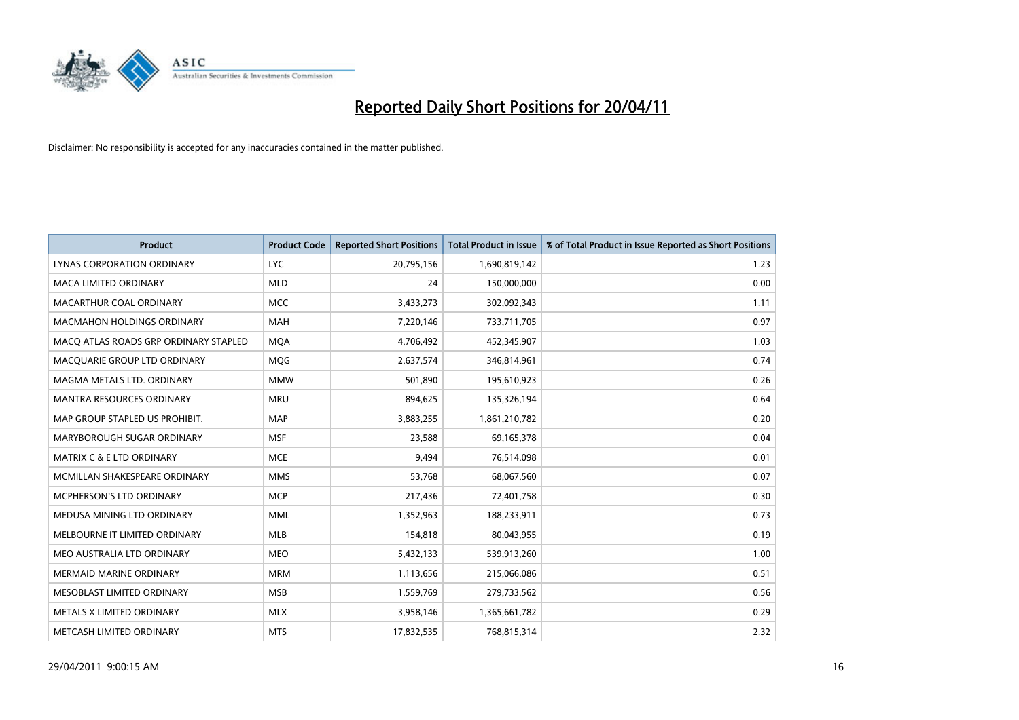

| <b>Product</b>                        | <b>Product Code</b> | <b>Reported Short Positions</b> | <b>Total Product in Issue</b> | % of Total Product in Issue Reported as Short Positions |
|---------------------------------------|---------------------|---------------------------------|-------------------------------|---------------------------------------------------------|
| LYNAS CORPORATION ORDINARY            | <b>LYC</b>          | 20,795,156                      | 1,690,819,142                 | 1.23                                                    |
| MACA LIMITED ORDINARY                 | <b>MLD</b>          | 24                              | 150,000,000                   | 0.00                                                    |
| MACARTHUR COAL ORDINARY               | <b>MCC</b>          | 3,433,273                       | 302,092,343                   | 1.11                                                    |
| MACMAHON HOLDINGS ORDINARY            | <b>MAH</b>          | 7,220,146                       | 733,711,705                   | 0.97                                                    |
| MACQ ATLAS ROADS GRP ORDINARY STAPLED | <b>MOA</b>          | 4,706,492                       | 452,345,907                   | 1.03                                                    |
| MACQUARIE GROUP LTD ORDINARY          | <b>MOG</b>          | 2,637,574                       | 346,814,961                   | 0.74                                                    |
| MAGMA METALS LTD. ORDINARY            | <b>MMW</b>          | 501,890                         | 195,610,923                   | 0.26                                                    |
| MANTRA RESOURCES ORDINARY             | <b>MRU</b>          | 894,625                         | 135,326,194                   | 0.64                                                    |
| MAP GROUP STAPLED US PROHIBIT.        | <b>MAP</b>          | 3,883,255                       | 1,861,210,782                 | 0.20                                                    |
| MARYBOROUGH SUGAR ORDINARY            | <b>MSF</b>          | 23,588                          | 69,165,378                    | 0.04                                                    |
| MATRIX C & E LTD ORDINARY             | <b>MCE</b>          | 9,494                           | 76,514,098                    | 0.01                                                    |
| MCMILLAN SHAKESPEARE ORDINARY         | <b>MMS</b>          | 53,768                          | 68,067,560                    | 0.07                                                    |
| MCPHERSON'S LTD ORDINARY              | <b>MCP</b>          | 217,436                         | 72,401,758                    | 0.30                                                    |
| MEDUSA MINING LTD ORDINARY            | <b>MML</b>          | 1,352,963                       | 188,233,911                   | 0.73                                                    |
| MELBOURNE IT LIMITED ORDINARY         | <b>MLB</b>          | 154,818                         | 80,043,955                    | 0.19                                                    |
| MEO AUSTRALIA LTD ORDINARY            | <b>MEO</b>          | 5,432,133                       | 539,913,260                   | 1.00                                                    |
| MERMAID MARINE ORDINARY               | <b>MRM</b>          | 1,113,656                       | 215,066,086                   | 0.51                                                    |
| MESOBLAST LIMITED ORDINARY            | <b>MSB</b>          | 1,559,769                       | 279,733,562                   | 0.56                                                    |
| METALS X LIMITED ORDINARY             | <b>MLX</b>          | 3,958,146                       | 1,365,661,782                 | 0.29                                                    |
| METCASH LIMITED ORDINARY              | <b>MTS</b>          | 17,832,535                      | 768,815,314                   | 2.32                                                    |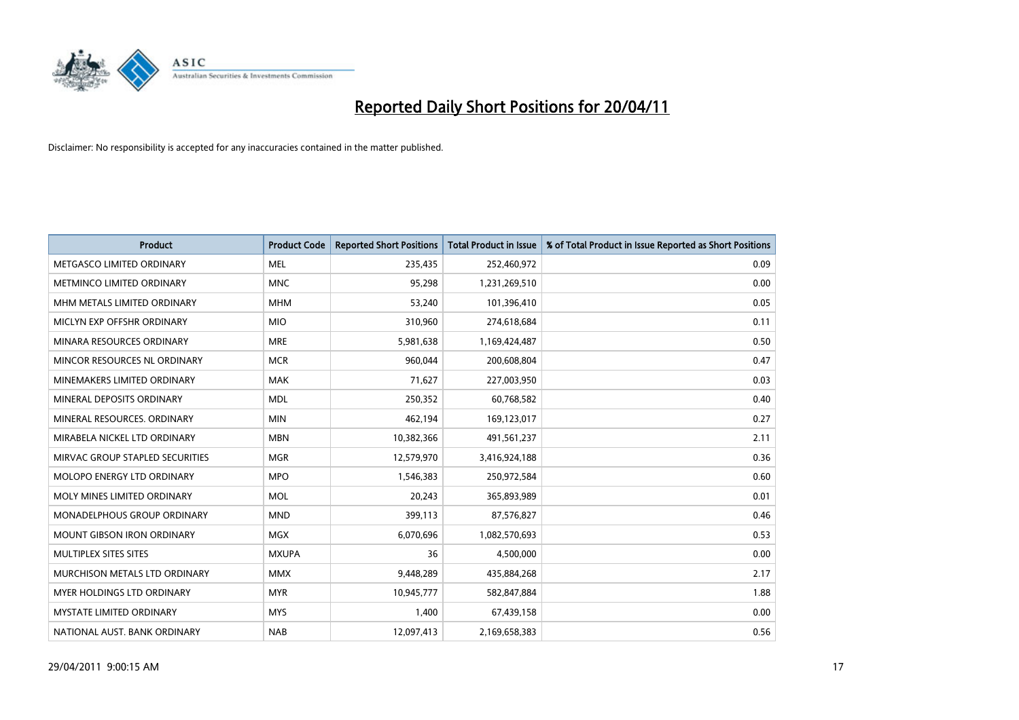

| <b>Product</b>                     | <b>Product Code</b> | <b>Reported Short Positions</b> | <b>Total Product in Issue</b> | % of Total Product in Issue Reported as Short Positions |
|------------------------------------|---------------------|---------------------------------|-------------------------------|---------------------------------------------------------|
| METGASCO LIMITED ORDINARY          | <b>MEL</b>          | 235,435                         | 252,460,972                   | 0.09                                                    |
| METMINCO LIMITED ORDINARY          | <b>MNC</b>          | 95,298                          | 1,231,269,510                 | 0.00                                                    |
| MHM METALS LIMITED ORDINARY        | <b>MHM</b>          | 53,240                          | 101,396,410                   | 0.05                                                    |
| MICLYN EXP OFFSHR ORDINARY         | <b>MIO</b>          | 310,960                         | 274,618,684                   | 0.11                                                    |
| MINARA RESOURCES ORDINARY          | <b>MRE</b>          | 5,981,638                       | 1,169,424,487                 | 0.50                                                    |
| MINCOR RESOURCES NL ORDINARY       | <b>MCR</b>          | 960,044                         | 200,608,804                   | 0.47                                                    |
| MINEMAKERS LIMITED ORDINARY        | <b>MAK</b>          | 71,627                          | 227,003,950                   | 0.03                                                    |
| MINERAL DEPOSITS ORDINARY          | <b>MDL</b>          | 250,352                         | 60,768,582                    | 0.40                                                    |
| MINERAL RESOURCES, ORDINARY        | <b>MIN</b>          | 462,194                         | 169,123,017                   | 0.27                                                    |
| MIRABELA NICKEL LTD ORDINARY       | <b>MBN</b>          | 10,382,366                      | 491,561,237                   | 2.11                                                    |
| MIRVAC GROUP STAPLED SECURITIES    | <b>MGR</b>          | 12,579,970                      | 3,416,924,188                 | 0.36                                                    |
| <b>MOLOPO ENERGY LTD ORDINARY</b>  | <b>MPO</b>          | 1,546,383                       | 250,972,584                   | 0.60                                                    |
| MOLY MINES LIMITED ORDINARY        | <b>MOL</b>          | 20,243                          | 365,893,989                   | 0.01                                                    |
| <b>MONADELPHOUS GROUP ORDINARY</b> | <b>MND</b>          | 399,113                         | 87,576,827                    | 0.46                                                    |
| <b>MOUNT GIBSON IRON ORDINARY</b>  | <b>MGX</b>          | 6,070,696                       | 1,082,570,693                 | 0.53                                                    |
| MULTIPLEX SITES SITES              | <b>MXUPA</b>        | 36                              | 4,500,000                     | 0.00                                                    |
| MURCHISON METALS LTD ORDINARY      | <b>MMX</b>          | 9,448,289                       | 435,884,268                   | 2.17                                                    |
| MYER HOLDINGS LTD ORDINARY         | <b>MYR</b>          | 10,945,777                      | 582,847,884                   | 1.88                                                    |
| <b>MYSTATE LIMITED ORDINARY</b>    | <b>MYS</b>          | 1,400                           | 67,439,158                    | 0.00                                                    |
| NATIONAL AUST. BANK ORDINARY       | <b>NAB</b>          | 12,097,413                      | 2,169,658,383                 | 0.56                                                    |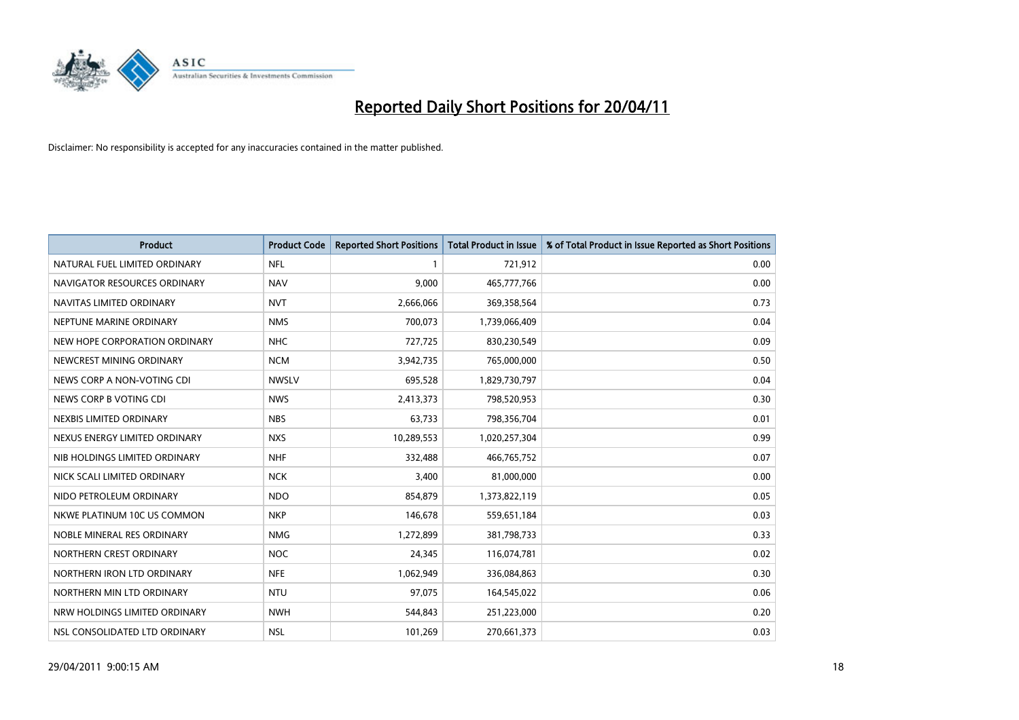

| <b>Product</b>                | <b>Product Code</b> | <b>Reported Short Positions</b> | <b>Total Product in Issue</b> | % of Total Product in Issue Reported as Short Positions |
|-------------------------------|---------------------|---------------------------------|-------------------------------|---------------------------------------------------------|
| NATURAL FUEL LIMITED ORDINARY | <b>NFL</b>          |                                 | 721,912                       | 0.00                                                    |
| NAVIGATOR RESOURCES ORDINARY  | <b>NAV</b>          | 9,000                           | 465,777,766                   | 0.00                                                    |
| NAVITAS LIMITED ORDINARY      | <b>NVT</b>          | 2,666,066                       | 369,358,564                   | 0.73                                                    |
| NEPTUNE MARINE ORDINARY       | <b>NMS</b>          | 700,073                         | 1,739,066,409                 | 0.04                                                    |
| NEW HOPE CORPORATION ORDINARY | <b>NHC</b>          | 727,725                         | 830,230,549                   | 0.09                                                    |
| NEWCREST MINING ORDINARY      | <b>NCM</b>          | 3,942,735                       | 765,000,000                   | 0.50                                                    |
| NEWS CORP A NON-VOTING CDI    | <b>NWSLV</b>        | 695,528                         | 1,829,730,797                 | 0.04                                                    |
| NEWS CORP B VOTING CDI        | <b>NWS</b>          | 2,413,373                       | 798,520,953                   | 0.30                                                    |
| NEXBIS LIMITED ORDINARY       | <b>NBS</b>          | 63,733                          | 798,356,704                   | 0.01                                                    |
| NEXUS ENERGY LIMITED ORDINARY | <b>NXS</b>          | 10,289,553                      | 1,020,257,304                 | 0.99                                                    |
| NIB HOLDINGS LIMITED ORDINARY | <b>NHF</b>          | 332,488                         | 466,765,752                   | 0.07                                                    |
| NICK SCALI LIMITED ORDINARY   | <b>NCK</b>          | 3,400                           | 81,000,000                    | 0.00                                                    |
| NIDO PETROLEUM ORDINARY       | <b>NDO</b>          | 854,879                         | 1,373,822,119                 | 0.05                                                    |
| NKWE PLATINUM 10C US COMMON   | <b>NKP</b>          | 146,678                         | 559,651,184                   | 0.03                                                    |
| NOBLE MINERAL RES ORDINARY    | <b>NMG</b>          | 1,272,899                       | 381,798,733                   | 0.33                                                    |
| NORTHERN CREST ORDINARY       | <b>NOC</b>          | 24,345                          | 116,074,781                   | 0.02                                                    |
| NORTHERN IRON LTD ORDINARY    | <b>NFE</b>          | 1,062,949                       | 336,084,863                   | 0.30                                                    |
| NORTHERN MIN LTD ORDINARY     | <b>NTU</b>          | 97,075                          | 164,545,022                   | 0.06                                                    |
| NRW HOLDINGS LIMITED ORDINARY | <b>NWH</b>          | 544,843                         | 251,223,000                   | 0.20                                                    |
| NSL CONSOLIDATED LTD ORDINARY | <b>NSL</b>          | 101,269                         | 270,661,373                   | 0.03                                                    |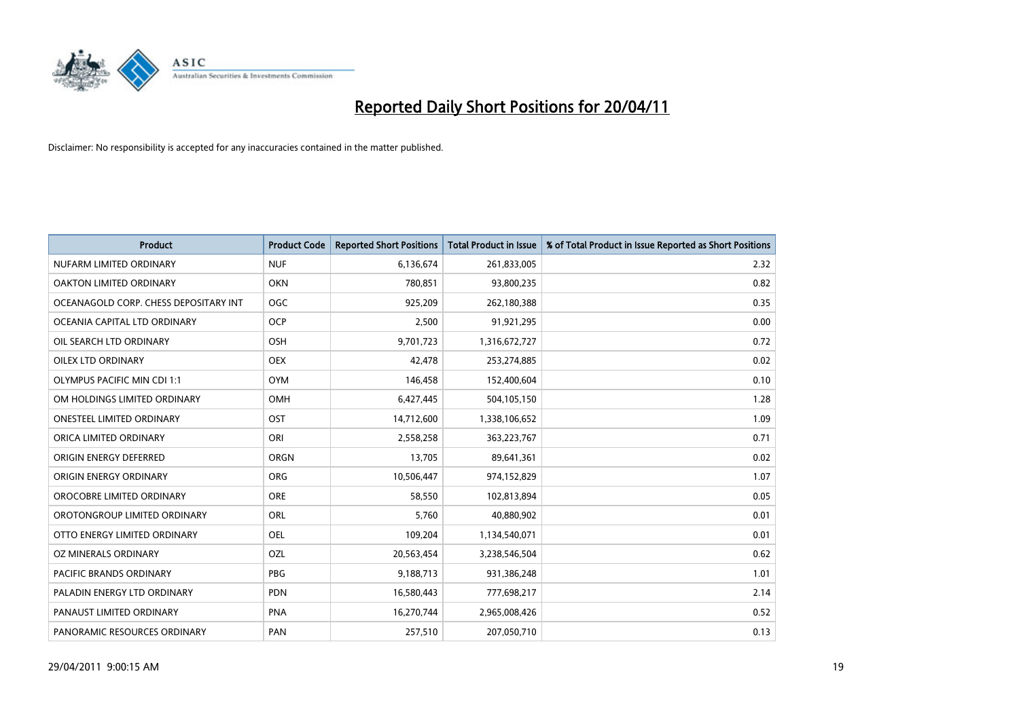

| <b>Product</b>                        | <b>Product Code</b> | <b>Reported Short Positions</b> | <b>Total Product in Issue</b> | % of Total Product in Issue Reported as Short Positions |
|---------------------------------------|---------------------|---------------------------------|-------------------------------|---------------------------------------------------------|
| NUFARM LIMITED ORDINARY               | <b>NUF</b>          | 6,136,674                       | 261,833,005                   | 2.32                                                    |
| OAKTON LIMITED ORDINARY               | <b>OKN</b>          | 780,851                         | 93,800,235                    | 0.82                                                    |
| OCEANAGOLD CORP. CHESS DEPOSITARY INT | <b>OGC</b>          | 925,209                         | 262,180,388                   | 0.35                                                    |
| OCEANIA CAPITAL LTD ORDINARY          | <b>OCP</b>          | 2,500                           | 91,921,295                    | 0.00                                                    |
| OIL SEARCH LTD ORDINARY               | <b>OSH</b>          | 9,701,723                       | 1,316,672,727                 | 0.72                                                    |
| OILEX LTD ORDINARY                    | <b>OEX</b>          | 42,478                          | 253,274,885                   | 0.02                                                    |
| <b>OLYMPUS PACIFIC MIN CDI 1:1</b>    | <b>OYM</b>          | 146,458                         | 152,400,604                   | 0.10                                                    |
| OM HOLDINGS LIMITED ORDINARY          | <b>OMH</b>          | 6,427,445                       | 504,105,150                   | 1.28                                                    |
| <b>ONESTEEL LIMITED ORDINARY</b>      | OST                 | 14,712,600                      | 1,338,106,652                 | 1.09                                                    |
| ORICA LIMITED ORDINARY                | ORI                 | 2,558,258                       | 363,223,767                   | 0.71                                                    |
| ORIGIN ENERGY DEFERRED                | ORGN                | 13,705                          | 89,641,361                    | 0.02                                                    |
| ORIGIN ENERGY ORDINARY                | <b>ORG</b>          | 10,506,447                      | 974,152,829                   | 1.07                                                    |
| OROCOBRE LIMITED ORDINARY             | <b>ORE</b>          | 58,550                          | 102,813,894                   | 0.05                                                    |
| OROTONGROUP LIMITED ORDINARY          | <b>ORL</b>          | 5,760                           | 40,880,902                    | 0.01                                                    |
| OTTO ENERGY LIMITED ORDINARY          | OEL                 | 109,204                         | 1,134,540,071                 | 0.01                                                    |
| OZ MINERALS ORDINARY                  | OZL                 | 20,563,454                      | 3,238,546,504                 | 0.62                                                    |
| PACIFIC BRANDS ORDINARY               | PBG                 | 9,188,713                       | 931,386,248                   | 1.01                                                    |
| PALADIN ENERGY LTD ORDINARY           | <b>PDN</b>          | 16,580,443                      | 777,698,217                   | 2.14                                                    |
| PANAUST LIMITED ORDINARY              | <b>PNA</b>          | 16,270,744                      | 2,965,008,426                 | 0.52                                                    |
| PANORAMIC RESOURCES ORDINARY          | PAN                 | 257,510                         | 207,050,710                   | 0.13                                                    |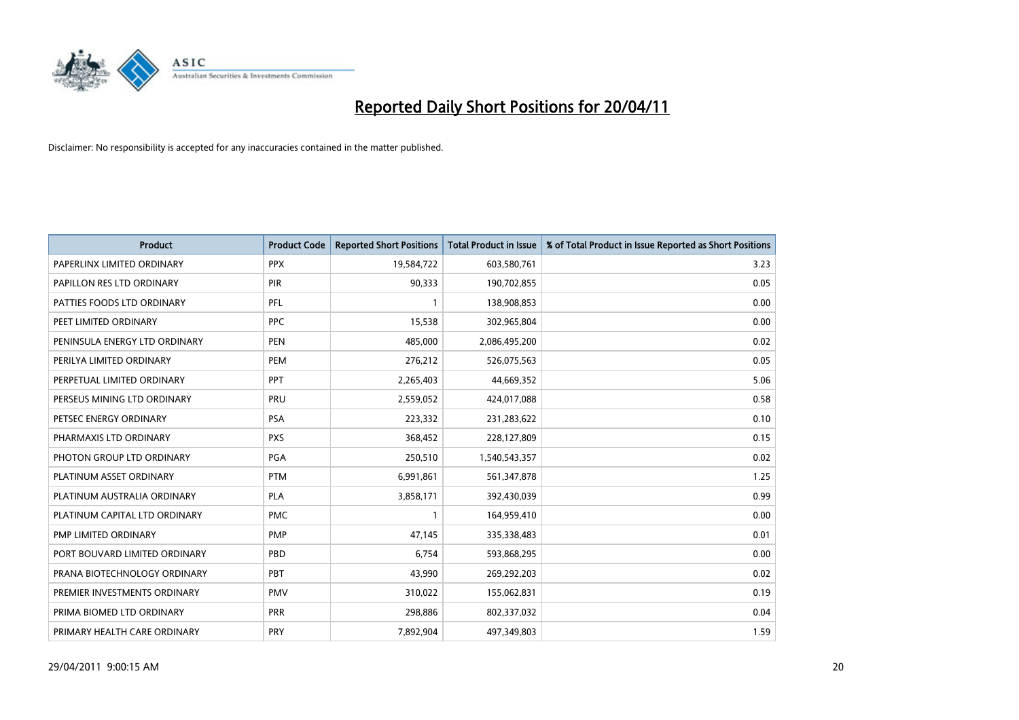

| <b>Product</b>                | <b>Product Code</b> | <b>Reported Short Positions</b> | <b>Total Product in Issue</b> | % of Total Product in Issue Reported as Short Positions |
|-------------------------------|---------------------|---------------------------------|-------------------------------|---------------------------------------------------------|
| PAPERLINX LIMITED ORDINARY    | <b>PPX</b>          | 19,584,722                      | 603,580,761                   | 3.23                                                    |
| PAPILLON RES LTD ORDINARY     | <b>PIR</b>          | 90,333                          | 190,702,855                   | 0.05                                                    |
| PATTIES FOODS LTD ORDINARY    | PFL                 |                                 | 138,908,853                   | 0.00                                                    |
| PEET LIMITED ORDINARY         | <b>PPC</b>          | 15,538                          | 302,965,804                   | 0.00                                                    |
| PENINSULA ENERGY LTD ORDINARY | <b>PEN</b>          | 485.000                         | 2,086,495,200                 | 0.02                                                    |
| PERILYA LIMITED ORDINARY      | PEM                 | 276,212                         | 526,075,563                   | 0.05                                                    |
| PERPETUAL LIMITED ORDINARY    | PPT                 | 2,265,403                       | 44,669,352                    | 5.06                                                    |
| PERSEUS MINING LTD ORDINARY   | PRU                 | 2,559,052                       | 424,017,088                   | 0.58                                                    |
| PETSEC ENERGY ORDINARY        | <b>PSA</b>          | 223,332                         | 231,283,622                   | 0.10                                                    |
| PHARMAXIS LTD ORDINARY        | <b>PXS</b>          | 368,452                         | 228,127,809                   | 0.15                                                    |
| PHOTON GROUP LTD ORDINARY     | <b>PGA</b>          | 250,510                         | 1,540,543,357                 | 0.02                                                    |
| PLATINUM ASSET ORDINARY       | <b>PTM</b>          | 6,991,861                       | 561,347,878                   | 1.25                                                    |
| PLATINUM AUSTRALIA ORDINARY   | <b>PLA</b>          | 3,858,171                       | 392,430,039                   | 0.99                                                    |
| PLATINUM CAPITAL LTD ORDINARY | <b>PMC</b>          |                                 | 164,959,410                   | 0.00                                                    |
| PMP LIMITED ORDINARY          | <b>PMP</b>          | 47,145                          | 335,338,483                   | 0.01                                                    |
| PORT BOUVARD LIMITED ORDINARY | PBD                 | 6,754                           | 593,868,295                   | 0.00                                                    |
| PRANA BIOTECHNOLOGY ORDINARY  | PBT                 | 43,990                          | 269,292,203                   | 0.02                                                    |
| PREMIER INVESTMENTS ORDINARY  | <b>PMV</b>          | 310,022                         | 155,062,831                   | 0.19                                                    |
| PRIMA BIOMED LTD ORDINARY     | PRR                 | 298,886                         | 802,337,032                   | 0.04                                                    |
| PRIMARY HEALTH CARE ORDINARY  | PRY                 | 7,892,904                       | 497,349,803                   | 1.59                                                    |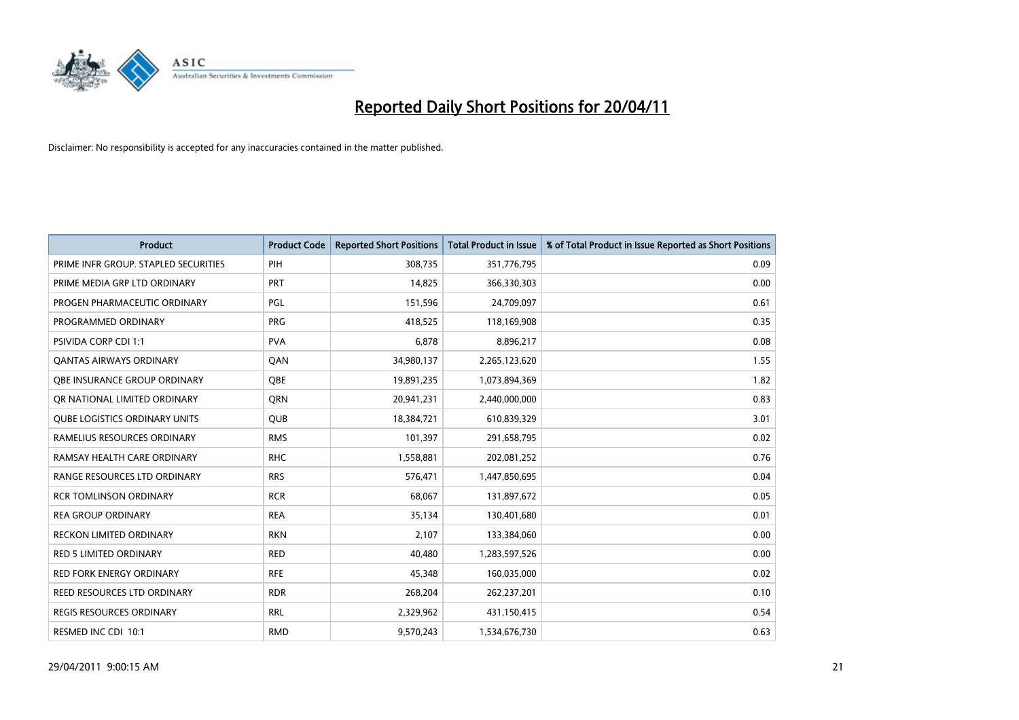

| <b>Product</b>                       | <b>Product Code</b> | <b>Reported Short Positions</b> | Total Product in Issue | % of Total Product in Issue Reported as Short Positions |
|--------------------------------------|---------------------|---------------------------------|------------------------|---------------------------------------------------------|
| PRIME INFR GROUP. STAPLED SECURITIES | PIH                 | 308,735                         | 351,776,795            | 0.09                                                    |
| PRIME MEDIA GRP LTD ORDINARY         | PRT                 | 14,825                          | 366,330,303            | 0.00                                                    |
| PROGEN PHARMACEUTIC ORDINARY         | PGL                 | 151,596                         | 24,709,097             | 0.61                                                    |
| PROGRAMMED ORDINARY                  | <b>PRG</b>          | 418,525                         | 118,169,908            | 0.35                                                    |
| <b>PSIVIDA CORP CDI 1:1</b>          | <b>PVA</b>          | 6,878                           | 8,896,217              | 0.08                                                    |
| <b>QANTAS AIRWAYS ORDINARY</b>       | <b>QAN</b>          | 34,980,137                      | 2,265,123,620          | 1.55                                                    |
| OBE INSURANCE GROUP ORDINARY         | OBE                 | 19,891,235                      | 1,073,894,369          | 1.82                                                    |
| OR NATIONAL LIMITED ORDINARY         | <b>ORN</b>          | 20,941,231                      | 2,440,000,000          | 0.83                                                    |
| <b>QUBE LOGISTICS ORDINARY UNITS</b> | <b>OUB</b>          | 18,384,721                      | 610,839,329            | 3.01                                                    |
| RAMELIUS RESOURCES ORDINARY          | <b>RMS</b>          | 101,397                         | 291,658,795            | 0.02                                                    |
| RAMSAY HEALTH CARE ORDINARY          | <b>RHC</b>          | 1,558,881                       | 202,081,252            | 0.76                                                    |
| RANGE RESOURCES LTD ORDINARY         | <b>RRS</b>          | 576,471                         | 1,447,850,695          | 0.04                                                    |
| <b>RCR TOMLINSON ORDINARY</b>        | <b>RCR</b>          | 68,067                          | 131,897,672            | 0.05                                                    |
| <b>REA GROUP ORDINARY</b>            | <b>REA</b>          | 35,134                          | 130,401,680            | 0.01                                                    |
| <b>RECKON LIMITED ORDINARY</b>       | <b>RKN</b>          | 2,107                           | 133,384,060            | 0.00                                                    |
| RED 5 LIMITED ORDINARY               | <b>RED</b>          | 40,480                          | 1,283,597,526          | 0.00                                                    |
| RED FORK ENERGY ORDINARY             | <b>RFE</b>          | 45,348                          | 160,035,000            | 0.02                                                    |
| REED RESOURCES LTD ORDINARY          | <b>RDR</b>          | 268,204                         | 262,237,201            | 0.10                                                    |
| REGIS RESOURCES ORDINARY             | <b>RRL</b>          | 2,329,962                       | 431,150,415            | 0.54                                                    |
| RESMED INC CDI 10:1                  | <b>RMD</b>          | 9,570,243                       | 1,534,676,730          | 0.63                                                    |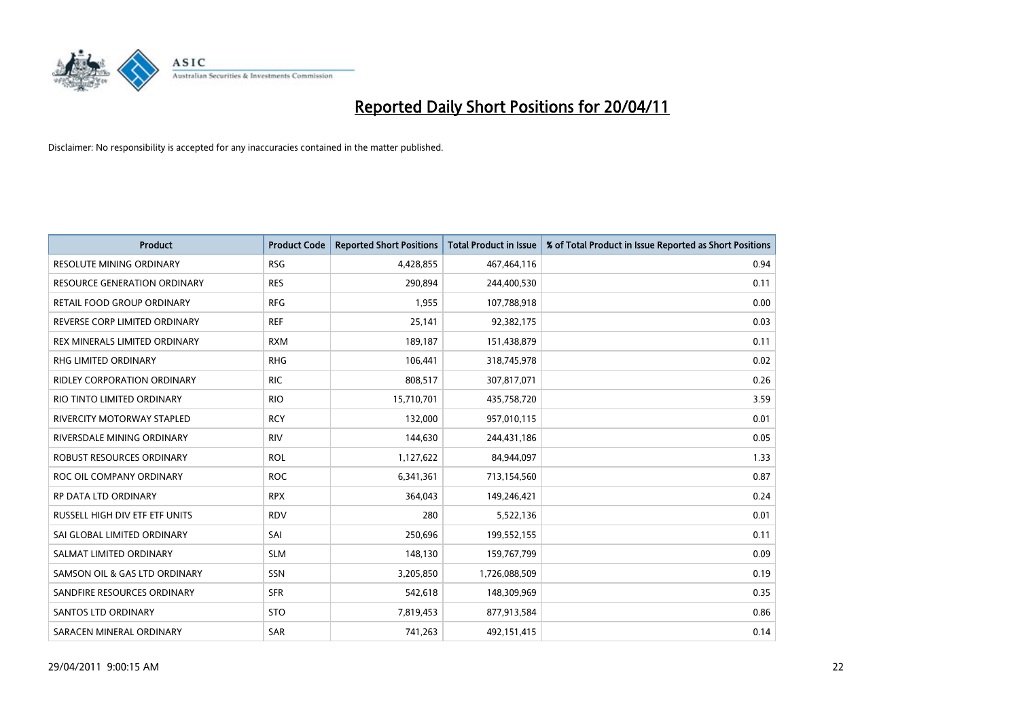

| <b>Product</b>                     | <b>Product Code</b> | <b>Reported Short Positions</b> | <b>Total Product in Issue</b> | % of Total Product in Issue Reported as Short Positions |
|------------------------------------|---------------------|---------------------------------|-------------------------------|---------------------------------------------------------|
| <b>RESOLUTE MINING ORDINARY</b>    | <b>RSG</b>          | 4,428,855                       | 467,464,116                   | 0.94                                                    |
| RESOURCE GENERATION ORDINARY       | <b>RES</b>          | 290,894                         | 244,400,530                   | 0.11                                                    |
| RETAIL FOOD GROUP ORDINARY         | <b>RFG</b>          | 1,955                           | 107,788,918                   | 0.00                                                    |
| REVERSE CORP LIMITED ORDINARY      | <b>REF</b>          | 25,141                          | 92,382,175                    | 0.03                                                    |
| REX MINERALS LIMITED ORDINARY      | <b>RXM</b>          | 189,187                         | 151,438,879                   | 0.11                                                    |
| <b>RHG LIMITED ORDINARY</b>        | <b>RHG</b>          | 106,441                         | 318,745,978                   | 0.02                                                    |
| <b>RIDLEY CORPORATION ORDINARY</b> | <b>RIC</b>          | 808,517                         | 307,817,071                   | 0.26                                                    |
| RIO TINTO LIMITED ORDINARY         | <b>RIO</b>          | 15,710,701                      | 435,758,720                   | 3.59                                                    |
| RIVERCITY MOTORWAY STAPLED         | <b>RCY</b>          | 132,000                         | 957,010,115                   | 0.01                                                    |
| RIVERSDALE MINING ORDINARY         | <b>RIV</b>          | 144,630                         | 244,431,186                   | 0.05                                                    |
| ROBUST RESOURCES ORDINARY          | <b>ROL</b>          | 1,127,622                       | 84,944,097                    | 1.33                                                    |
| ROC OIL COMPANY ORDINARY           | <b>ROC</b>          | 6,341,361                       | 713,154,560                   | 0.87                                                    |
| RP DATA LTD ORDINARY               | <b>RPX</b>          | 364,043                         | 149,246,421                   | 0.24                                                    |
| RUSSELL HIGH DIV ETF ETF UNITS     | <b>RDV</b>          | 280                             | 5,522,136                     | 0.01                                                    |
| SAI GLOBAL LIMITED ORDINARY        | SAI                 | 250,696                         | 199,552,155                   | 0.11                                                    |
| SALMAT LIMITED ORDINARY            | <b>SLM</b>          | 148,130                         | 159,767,799                   | 0.09                                                    |
| SAMSON OIL & GAS LTD ORDINARY      | <b>SSN</b>          | 3,205,850                       | 1,726,088,509                 | 0.19                                                    |
| SANDFIRE RESOURCES ORDINARY        | <b>SFR</b>          | 542,618                         | 148,309,969                   | 0.35                                                    |
| <b>SANTOS LTD ORDINARY</b>         | <b>STO</b>          | 7,819,453                       | 877,913,584                   | 0.86                                                    |
| SARACEN MINERAL ORDINARY           | <b>SAR</b>          | 741,263                         | 492,151,415                   | 0.14                                                    |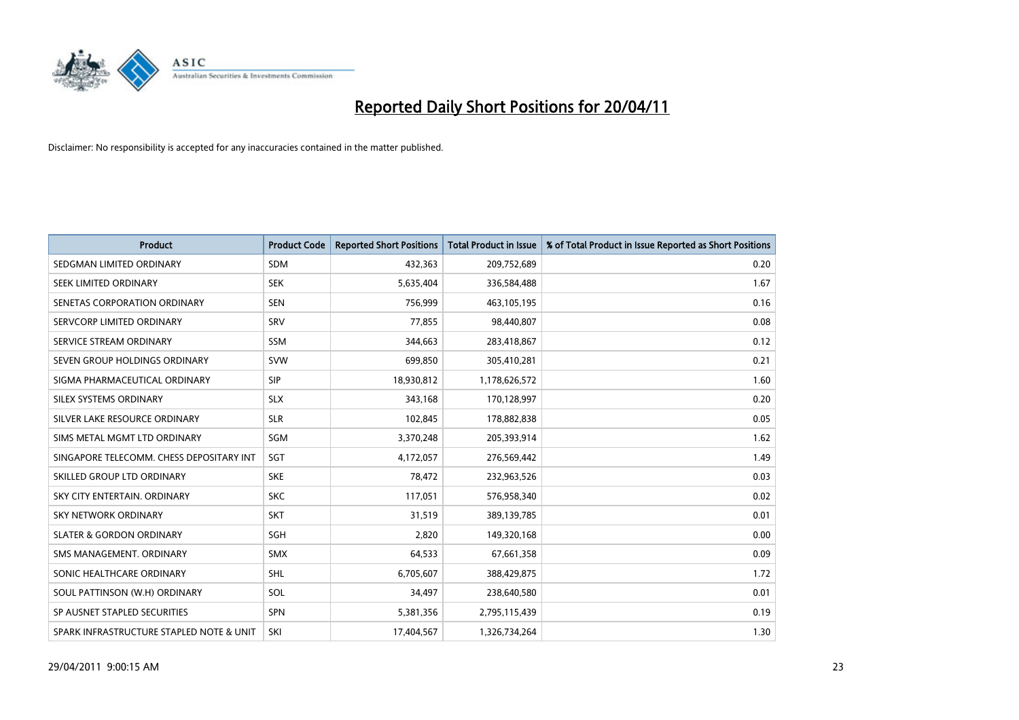

| <b>Product</b>                           | <b>Product Code</b> | <b>Reported Short Positions</b> | <b>Total Product in Issue</b> | % of Total Product in Issue Reported as Short Positions |
|------------------------------------------|---------------------|---------------------------------|-------------------------------|---------------------------------------------------------|
| SEDGMAN LIMITED ORDINARY                 | <b>SDM</b>          | 432,363                         | 209,752,689                   | 0.20                                                    |
| SEEK LIMITED ORDINARY                    | <b>SEK</b>          | 5,635,404                       | 336,584,488                   | 1.67                                                    |
| SENETAS CORPORATION ORDINARY             | <b>SEN</b>          | 756,999                         | 463,105,195                   | 0.16                                                    |
| SERVCORP LIMITED ORDINARY                | SRV                 | 77,855                          | 98,440,807                    | 0.08                                                    |
| SERVICE STREAM ORDINARY                  | <b>SSM</b>          | 344,663                         | 283,418,867                   | 0.12                                                    |
| SEVEN GROUP HOLDINGS ORDINARY            | <b>SVW</b>          | 699,850                         | 305,410,281                   | 0.21                                                    |
| SIGMA PHARMACEUTICAL ORDINARY            | <b>SIP</b>          | 18,930,812                      | 1,178,626,572                 | 1.60                                                    |
| SILEX SYSTEMS ORDINARY                   | <b>SLX</b>          | 343,168                         | 170,128,997                   | 0.20                                                    |
| SILVER LAKE RESOURCE ORDINARY            | <b>SLR</b>          | 102,845                         | 178,882,838                   | 0.05                                                    |
| SIMS METAL MGMT LTD ORDINARY             | <b>SGM</b>          | 3,370,248                       | 205,393,914                   | 1.62                                                    |
| SINGAPORE TELECOMM. CHESS DEPOSITARY INT | SGT                 | 4,172,057                       | 276,569,442                   | 1.49                                                    |
| SKILLED GROUP LTD ORDINARY               | <b>SKE</b>          | 78,472                          | 232,963,526                   | 0.03                                                    |
| SKY CITY ENTERTAIN. ORDINARY             | <b>SKC</b>          | 117,051                         | 576,958,340                   | 0.02                                                    |
| <b>SKY NETWORK ORDINARY</b>              | <b>SKT</b>          | 31,519                          | 389,139,785                   | 0.01                                                    |
| <b>SLATER &amp; GORDON ORDINARY</b>      | <b>SGH</b>          | 2,820                           | 149,320,168                   | 0.00                                                    |
| SMS MANAGEMENT, ORDINARY                 | <b>SMX</b>          | 64,533                          | 67,661,358                    | 0.09                                                    |
| SONIC HEALTHCARE ORDINARY                | <b>SHL</b>          | 6,705,607                       | 388,429,875                   | 1.72                                                    |
| SOUL PATTINSON (W.H) ORDINARY            | SOL                 | 34,497                          | 238,640,580                   | 0.01                                                    |
| SP AUSNET STAPLED SECURITIES             | SPN                 | 5,381,356                       | 2,795,115,439                 | 0.19                                                    |
| SPARK INFRASTRUCTURE STAPLED NOTE & UNIT | SKI                 | 17,404,567                      | 1,326,734,264                 | 1.30                                                    |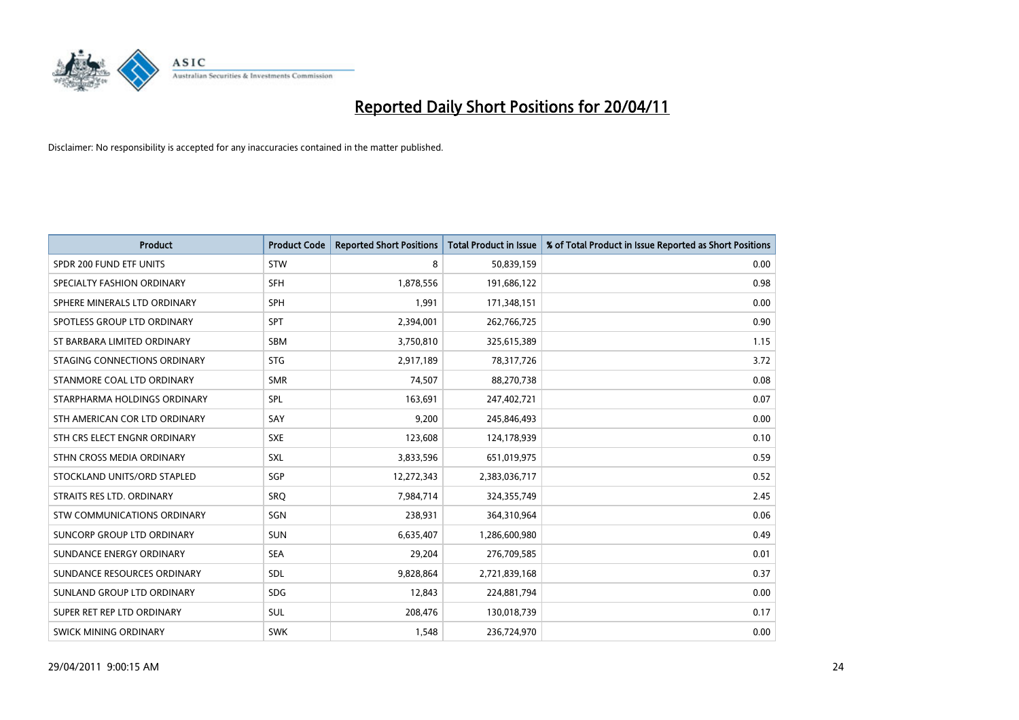

| <b>Product</b>                | <b>Product Code</b> | <b>Reported Short Positions</b> | <b>Total Product in Issue</b> | % of Total Product in Issue Reported as Short Positions |
|-------------------------------|---------------------|---------------------------------|-------------------------------|---------------------------------------------------------|
| SPDR 200 FUND ETF UNITS       | STW                 | 8                               | 50,839,159                    | 0.00                                                    |
| SPECIALTY FASHION ORDINARY    | SFH                 | 1,878,556                       | 191,686,122                   | 0.98                                                    |
| SPHERE MINERALS LTD ORDINARY  | <b>SPH</b>          | 1.991                           | 171,348,151                   | 0.00                                                    |
| SPOTLESS GROUP LTD ORDINARY   | <b>SPT</b>          | 2,394,001                       | 262,766,725                   | 0.90                                                    |
| ST BARBARA LIMITED ORDINARY   | <b>SBM</b>          | 3,750,810                       | 325,615,389                   | 1.15                                                    |
| STAGING CONNECTIONS ORDINARY  | <b>STG</b>          | 2,917,189                       | 78,317,726                    | 3.72                                                    |
| STANMORE COAL LTD ORDINARY    | <b>SMR</b>          | 74,507                          | 88,270,738                    | 0.08                                                    |
| STARPHARMA HOLDINGS ORDINARY  | SPL                 | 163,691                         | 247,402,721                   | 0.07                                                    |
| STH AMERICAN COR LTD ORDINARY | SAY                 | 9,200                           | 245,846,493                   | 0.00                                                    |
| STH CRS ELECT ENGNR ORDINARY  | <b>SXE</b>          | 123,608                         | 124,178,939                   | 0.10                                                    |
| STHN CROSS MEDIA ORDINARY     | <b>SXL</b>          | 3,833,596                       | 651,019,975                   | 0.59                                                    |
| STOCKLAND UNITS/ORD STAPLED   | SGP                 | 12,272,343                      | 2,383,036,717                 | 0.52                                                    |
| STRAITS RES LTD. ORDINARY     | SRO                 | 7,984,714                       | 324,355,749                   | 2.45                                                    |
| STW COMMUNICATIONS ORDINARY   | SGN                 | 238,931                         | 364,310,964                   | 0.06                                                    |
| SUNCORP GROUP LTD ORDINARY    | <b>SUN</b>          | 6,635,407                       | 1,286,600,980                 | 0.49                                                    |
| SUNDANCE ENERGY ORDINARY      | <b>SEA</b>          | 29,204                          | 276,709,585                   | 0.01                                                    |
| SUNDANCE RESOURCES ORDINARY   | SDL                 | 9,828,864                       | 2,721,839,168                 | 0.37                                                    |
| SUNLAND GROUP LTD ORDINARY    | <b>SDG</b>          | 12,843                          | 224,881,794                   | 0.00                                                    |
| SUPER RET REP LTD ORDINARY    | SUL                 | 208,476                         | 130,018,739                   | 0.17                                                    |
| SWICK MINING ORDINARY         | <b>SWK</b>          | 1,548                           | 236,724,970                   | 0.00                                                    |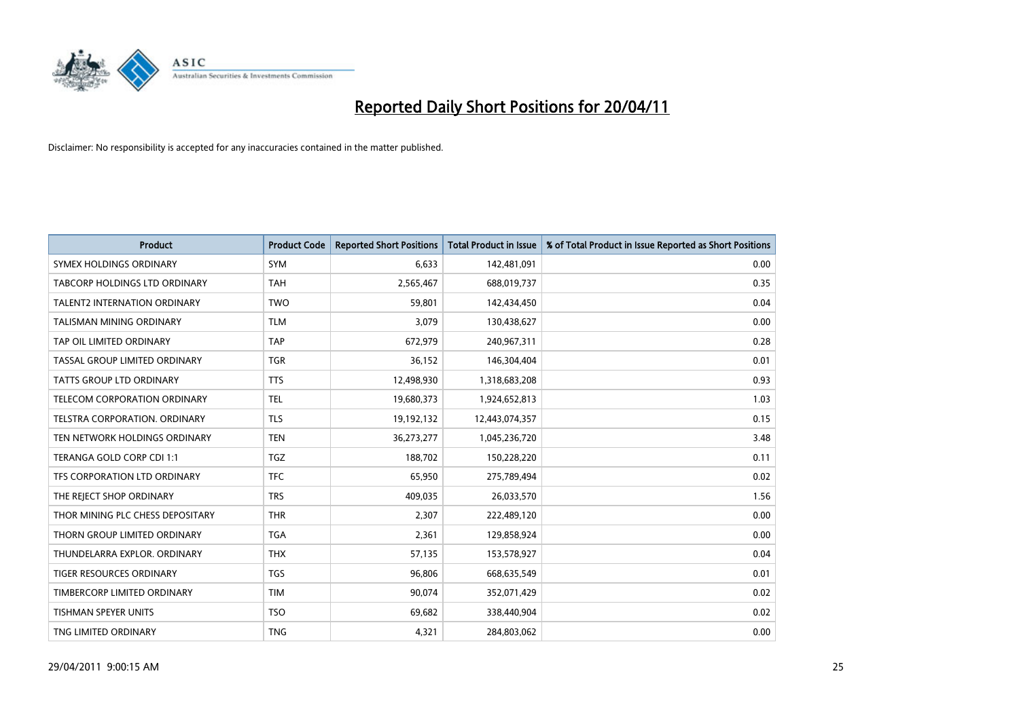

| <b>Product</b>                      | <b>Product Code</b> | <b>Reported Short Positions</b> | <b>Total Product in Issue</b> | % of Total Product in Issue Reported as Short Positions |
|-------------------------------------|---------------------|---------------------------------|-------------------------------|---------------------------------------------------------|
| SYMEX HOLDINGS ORDINARY             | SYM                 | 6,633                           | 142,481,091                   | 0.00                                                    |
| TABCORP HOLDINGS LTD ORDINARY       | <b>TAH</b>          | 2,565,467                       | 688,019,737                   | 0.35                                                    |
| <b>TALENT2 INTERNATION ORDINARY</b> | <b>TWO</b>          | 59.801                          | 142,434,450                   | 0.04                                                    |
| <b>TALISMAN MINING ORDINARY</b>     | <b>TLM</b>          | 3,079                           | 130,438,627                   | 0.00                                                    |
| TAP OIL LIMITED ORDINARY            | <b>TAP</b>          | 672,979                         | 240,967,311                   | 0.28                                                    |
| TASSAL GROUP LIMITED ORDINARY       | <b>TGR</b>          | 36,152                          | 146,304,404                   | 0.01                                                    |
| TATTS GROUP LTD ORDINARY            | <b>TTS</b>          | 12,498,930                      | 1,318,683,208                 | 0.93                                                    |
| TELECOM CORPORATION ORDINARY        | <b>TEL</b>          | 19,680,373                      | 1,924,652,813                 | 1.03                                                    |
| TELSTRA CORPORATION, ORDINARY       | <b>TLS</b>          | 19,192,132                      | 12,443,074,357                | 0.15                                                    |
| TEN NETWORK HOLDINGS ORDINARY       | <b>TEN</b>          | 36,273,277                      | 1,045,236,720                 | 3.48                                                    |
| TERANGA GOLD CORP CDI 1:1           | <b>TGZ</b>          | 188,702                         | 150,228,220                   | 0.11                                                    |
| TFS CORPORATION LTD ORDINARY        | <b>TFC</b>          | 65,950                          | 275,789,494                   | 0.02                                                    |
| THE REJECT SHOP ORDINARY            | <b>TRS</b>          | 409,035                         | 26,033,570                    | 1.56                                                    |
| THOR MINING PLC CHESS DEPOSITARY    | <b>THR</b>          | 2,307                           | 222,489,120                   | 0.00                                                    |
| THORN GROUP LIMITED ORDINARY        | <b>TGA</b>          | 2,361                           | 129,858,924                   | 0.00                                                    |
| THUNDELARRA EXPLOR, ORDINARY        | <b>THX</b>          | 57,135                          | 153,578,927                   | 0.04                                                    |
| TIGER RESOURCES ORDINARY            | <b>TGS</b>          | 96,806                          | 668,635,549                   | 0.01                                                    |
| TIMBERCORP LIMITED ORDINARY         | <b>TIM</b>          | 90,074                          | 352,071,429                   | 0.02                                                    |
| TISHMAN SPEYER UNITS                | <b>TSO</b>          | 69,682                          | 338,440,904                   | 0.02                                                    |
| TNG LIMITED ORDINARY                | <b>TNG</b>          | 4,321                           | 284,803,062                   | 0.00                                                    |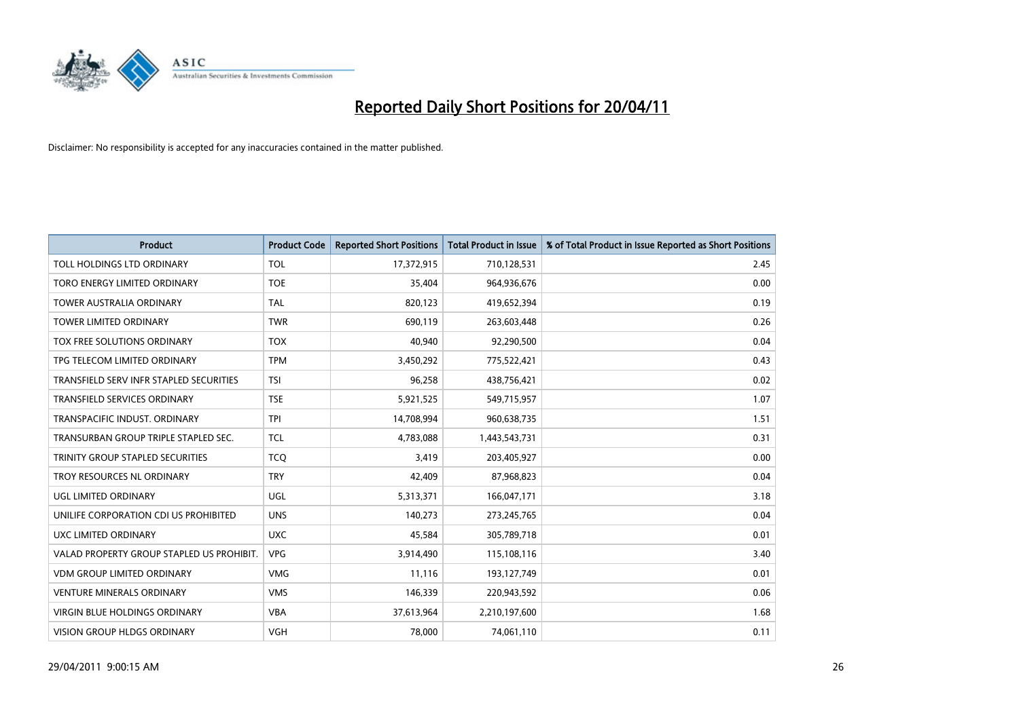

| <b>Product</b>                            | <b>Product Code</b> | <b>Reported Short Positions</b> | <b>Total Product in Issue</b> | % of Total Product in Issue Reported as Short Positions |
|-------------------------------------------|---------------------|---------------------------------|-------------------------------|---------------------------------------------------------|
| TOLL HOLDINGS LTD ORDINARY                | <b>TOL</b>          | 17,372,915                      | 710,128,531                   | 2.45                                                    |
| TORO ENERGY LIMITED ORDINARY              | <b>TOE</b>          | 35,404                          | 964,936,676                   | 0.00                                                    |
| <b>TOWER AUSTRALIA ORDINARY</b>           | <b>TAL</b>          | 820,123                         | 419,652,394                   | 0.19                                                    |
| TOWER LIMITED ORDINARY                    | <b>TWR</b>          | 690,119                         | 263,603,448                   | 0.26                                                    |
| TOX FREE SOLUTIONS ORDINARY               | <b>TOX</b>          | 40,940                          | 92,290,500                    | 0.04                                                    |
| TPG TELECOM LIMITED ORDINARY              | <b>TPM</b>          | 3,450,292                       | 775,522,421                   | 0.43                                                    |
| TRANSFIELD SERV INFR STAPLED SECURITIES   | <b>TSI</b>          | 96,258                          | 438,756,421                   | 0.02                                                    |
| TRANSFIELD SERVICES ORDINARY              | <b>TSE</b>          | 5,921,525                       | 549,715,957                   | 1.07                                                    |
| TRANSPACIFIC INDUST, ORDINARY             | <b>TPI</b>          | 14,708,994                      | 960,638,735                   | 1.51                                                    |
| TRANSURBAN GROUP TRIPLE STAPLED SEC.      | <b>TCL</b>          | 4,783,088                       | 1,443,543,731                 | 0.31                                                    |
| TRINITY GROUP STAPLED SECURITIES          | <b>TCO</b>          | 3,419                           | 203,405,927                   | 0.00                                                    |
| TROY RESOURCES NL ORDINARY                | <b>TRY</b>          | 42,409                          | 87,968,823                    | 0.04                                                    |
| UGL LIMITED ORDINARY                      | UGL                 | 5,313,371                       | 166,047,171                   | 3.18                                                    |
| UNILIFE CORPORATION CDI US PROHIBITED     | <b>UNS</b>          | 140,273                         | 273,245,765                   | 0.04                                                    |
| UXC LIMITED ORDINARY                      | <b>UXC</b>          | 45,584                          | 305,789,718                   | 0.01                                                    |
| VALAD PROPERTY GROUP STAPLED US PROHIBIT. | <b>VPG</b>          | 3,914,490                       | 115,108,116                   | 3.40                                                    |
| <b>VDM GROUP LIMITED ORDINARY</b>         | <b>VMG</b>          | 11,116                          | 193,127,749                   | 0.01                                                    |
| VENTURE MINERALS ORDINARY                 | <b>VMS</b>          | 146,339                         | 220,943,592                   | 0.06                                                    |
| <b>VIRGIN BLUE HOLDINGS ORDINARY</b>      | <b>VBA</b>          | 37,613,964                      | 2,210,197,600                 | 1.68                                                    |
| VISION GROUP HLDGS ORDINARY               | <b>VGH</b>          | 78,000                          | 74,061,110                    | 0.11                                                    |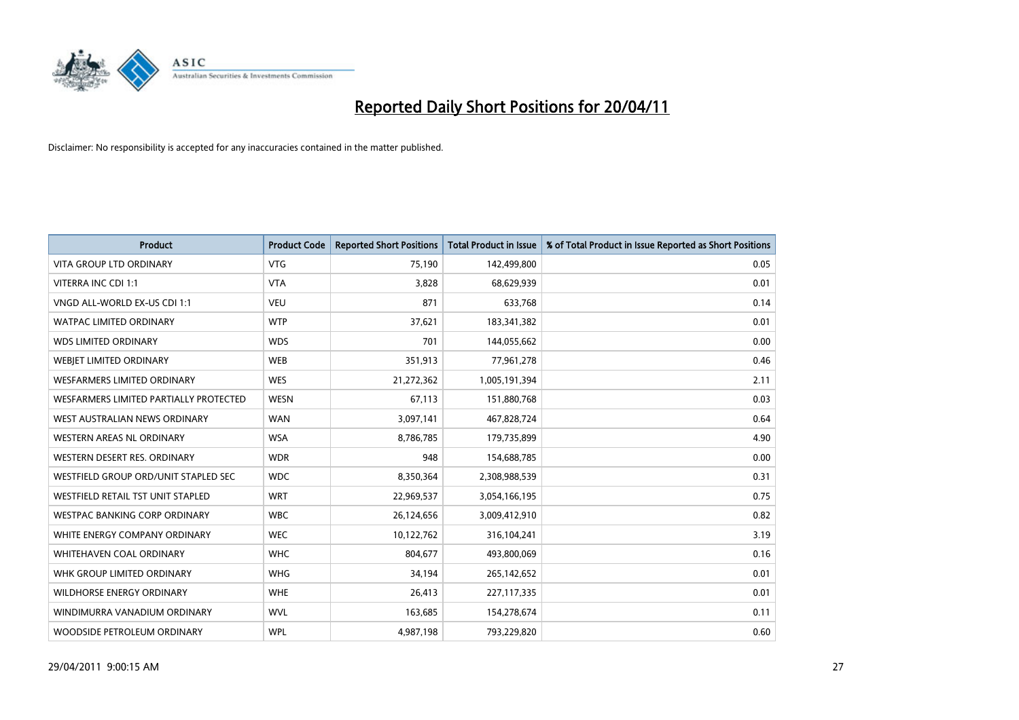

| <b>Product</b>                         | <b>Product Code</b> | <b>Reported Short Positions</b> | <b>Total Product in Issue</b> | % of Total Product in Issue Reported as Short Positions |
|----------------------------------------|---------------------|---------------------------------|-------------------------------|---------------------------------------------------------|
| <b>VITA GROUP LTD ORDINARY</b>         | <b>VTG</b>          | 75,190                          | 142,499,800                   | 0.05                                                    |
| VITERRA INC CDI 1:1                    | <b>VTA</b>          | 3,828                           | 68,629,939                    | 0.01                                                    |
| VNGD ALL-WORLD EX-US CDI 1:1           | <b>VEU</b>          | 871                             | 633,768                       | 0.14                                                    |
| WATPAC LIMITED ORDINARY                | <b>WTP</b>          | 37,621                          | 183,341,382                   | 0.01                                                    |
| <b>WDS LIMITED ORDINARY</b>            | <b>WDS</b>          | 701                             | 144,055,662                   | 0.00                                                    |
| WEBJET LIMITED ORDINARY                | <b>WEB</b>          | 351,913                         | 77,961,278                    | 0.46                                                    |
| <b>WESFARMERS LIMITED ORDINARY</b>     | <b>WES</b>          | 21,272,362                      | 1,005,191,394                 | 2.11                                                    |
| WESFARMERS LIMITED PARTIALLY PROTECTED | <b>WESN</b>         | 67,113                          | 151,880,768                   | 0.03                                                    |
| WEST AUSTRALIAN NEWS ORDINARY          | <b>WAN</b>          | 3,097,141                       | 467,828,724                   | 0.64                                                    |
| WESTERN AREAS NL ORDINARY              | <b>WSA</b>          | 8,786,785                       | 179,735,899                   | 4.90                                                    |
| WESTERN DESERT RES. ORDINARY           | <b>WDR</b>          | 948                             | 154,688,785                   | 0.00                                                    |
| WESTFIELD GROUP ORD/UNIT STAPLED SEC   | <b>WDC</b>          | 8,350,364                       | 2,308,988,539                 | 0.31                                                    |
| WESTFIELD RETAIL TST UNIT STAPLED      | <b>WRT</b>          | 22,969,537                      | 3,054,166,195                 | 0.75                                                    |
| <b>WESTPAC BANKING CORP ORDINARY</b>   | <b>WBC</b>          | 26,124,656                      | 3,009,412,910                 | 0.82                                                    |
| WHITE ENERGY COMPANY ORDINARY          | <b>WEC</b>          | 10,122,762                      | 316,104,241                   | 3.19                                                    |
| WHITEHAVEN COAL ORDINARY               | <b>WHC</b>          | 804,677                         | 493,800,069                   | 0.16                                                    |
| WHK GROUP LIMITED ORDINARY             | <b>WHG</b>          | 34,194                          | 265,142,652                   | 0.01                                                    |
| WILDHORSE ENERGY ORDINARY              | <b>WHE</b>          | 26,413                          | 227,117,335                   | 0.01                                                    |
| WINDIMURRA VANADIUM ORDINARY           | <b>WVL</b>          | 163,685                         | 154,278,674                   | 0.11                                                    |
| WOODSIDE PETROLEUM ORDINARY            | <b>WPL</b>          | 4,987,198                       | 793,229,820                   | 0.60                                                    |